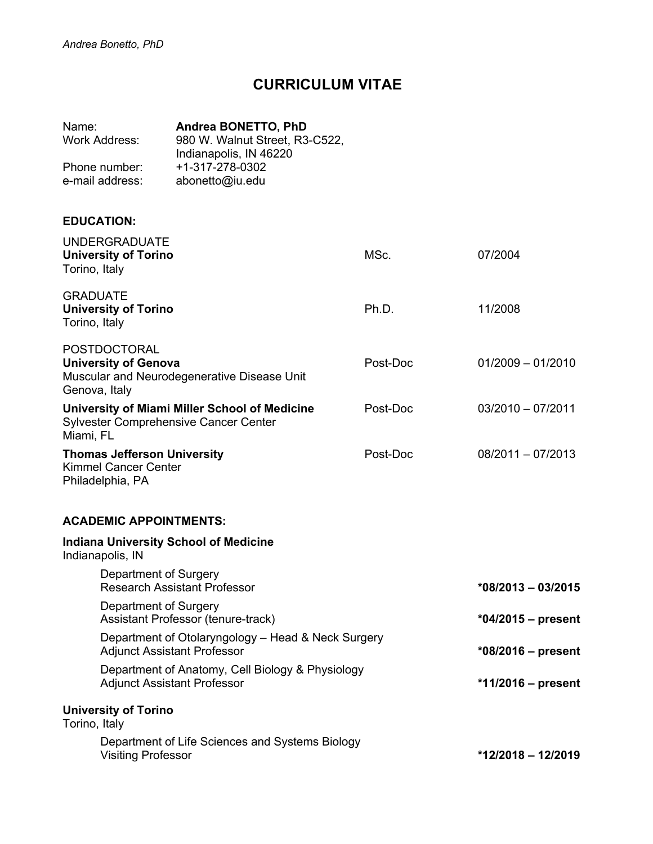# **CURRICULUM VITAE**

| Name:           | <b>Andrea BONETTO, PhD</b>     |
|-----------------|--------------------------------|
| Work Address:   | 980 W. Walnut Street, R3-C522, |
|                 | Indianapolis, IN 46220         |
| Phone number:   | +1-317-278-0302                |
| e-mail address: | abonetto@iu.edu                |

# **EDUCATION:**

| <b>UNDERGRADUATE</b><br><b>University of Torino</b><br>Torino, Italy                                               | MSc.     | 07/2004              |
|--------------------------------------------------------------------------------------------------------------------|----------|----------------------|
| <b>GRADUATE</b><br><b>University of Torino</b><br>Torino, Italy                                                    | Ph.D.    | 11/2008              |
| <b>POSTDOCTORAL</b><br><b>University of Genova</b><br>Muscular and Neurodegenerative Disease Unit<br>Genova, Italy | Post-Doc | $01/2009 - 01/2010$  |
| University of Miami Miller School of Medicine<br>Sylvester Comprehensive Cancer Center<br>Miami, FL                | Post-Doc | $03/2010 - 07/2011$  |
| <b>Thomas Jefferson University</b><br><b>Kimmel Cancer Center</b><br>Philadelphia, PA                              | Post-Doc | $08/2011 - 07/2013$  |
| <b>ACADEMIC APPOINTMENTS:</b>                                                                                      |          |                      |
| <b>Indiana University School of Medicine</b><br>Indianapolis, IN                                                   |          |                      |
| Department of Surgery<br><b>Research Assistant Professor</b>                                                       |          | $*08/2013 - 03/2015$ |
| Department of Surgery<br>Assistant Professor (tenure-track)                                                        |          | *04/2015 – present   |
| Department of Otolaryngology - Head & Neck Surgery<br><b>Adjunct Assistant Professor</b>                           |          | $*08/2016$ – present |
| Department of Anatomy, Cell Biology & Physiology<br><b>Adjunct Assistant Professor</b>                             |          | $*11/2016$ – present |
| <b>University of Torino</b><br>Torino, Italy                                                                       |          |                      |
| Department of Life Sciences and Systems Biology<br><b>Visiting Professor</b>                                       |          | $*12/2018 - 12/2019$ |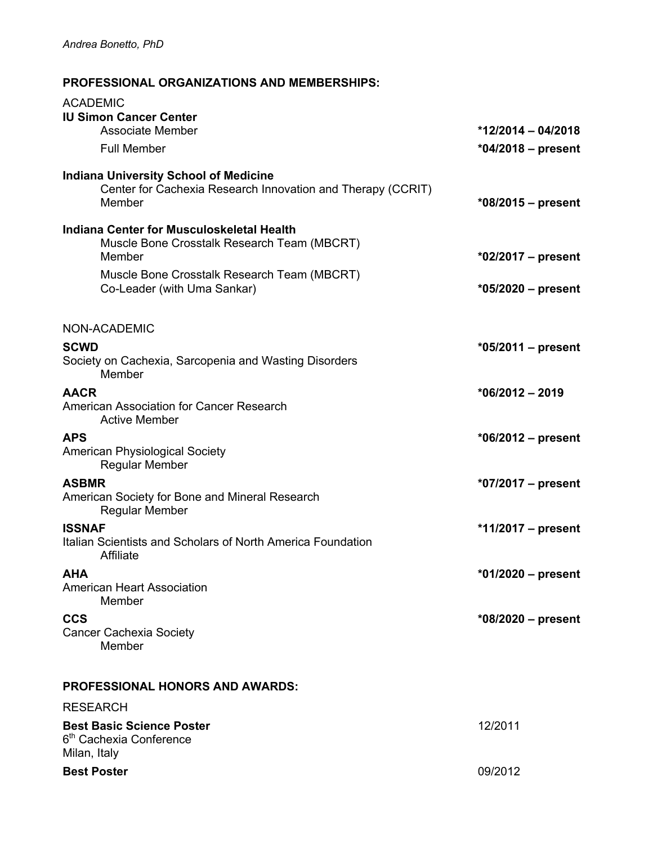# **PROFESSIONAL ORGANIZATIONS AND MEMBERSHIPS:**

| <b>ACADEMIC</b><br><b>IU Simon Cancer Center</b>                                                                      |                      |
|-----------------------------------------------------------------------------------------------------------------------|----------------------|
| <b>Associate Member</b>                                                                                               | $*12/2014 - 04/2018$ |
| <b>Full Member</b>                                                                                                    | $*04/2018 - present$ |
| <b>Indiana University School of Medicine</b><br>Center for Cachexia Research Innovation and Therapy (CCRIT)<br>Member | *08/2015 - present   |
| Indiana Center for Musculoskeletal Health<br>Muscle Bone Crosstalk Research Team (MBCRT)<br>Member                    | $*02/2017 - present$ |
| Muscle Bone Crosstalk Research Team (MBCRT)<br>Co-Leader (with Uma Sankar)                                            | *05/2020 - present   |
| NON-ACADEMIC                                                                                                          |                      |
| <b>SCWD</b>                                                                                                           | $*05/2011 - present$ |
| Society on Cachexia, Sarcopenia and Wasting Disorders<br>Member                                                       |                      |
| <b>AACR</b>                                                                                                           | $*06/2012 - 2019$    |
| American Association for Cancer Research<br><b>Active Member</b>                                                      |                      |
| <b>APS</b>                                                                                                            | $*06/2012 - present$ |
| <b>American Physiological Society</b><br><b>Regular Member</b>                                                        |                      |
| <b>ASBMR</b>                                                                                                          | $*07/2017 - present$ |
| American Society for Bone and Mineral Research<br>Regular Member                                                      |                      |
| <b>ISSNAF</b>                                                                                                         | *11/2017 – present   |
| Italian Scientists and Scholars of North America Foundation<br>Affiliate                                              |                      |
| <b>AHA</b>                                                                                                            | *01/2020 - present   |
| <b>American Heart Association</b><br>Member                                                                           |                      |
| <b>CCS</b>                                                                                                            | $*08/2020 - present$ |
| <b>Cancer Cachexia Society</b><br>Member                                                                              |                      |
| <b>PROFESSIONAL HONORS AND AWARDS:</b>                                                                                |                      |
| <b>RESEARCH</b>                                                                                                       |                      |
| <b>Best Basic Science Poster</b><br>6 <sup>th</sup> Cachexia Conference                                               | 12/2011              |
| Milan, Italy<br><b>Best Poster</b>                                                                                    | 09/2012              |
|                                                                                                                       |                      |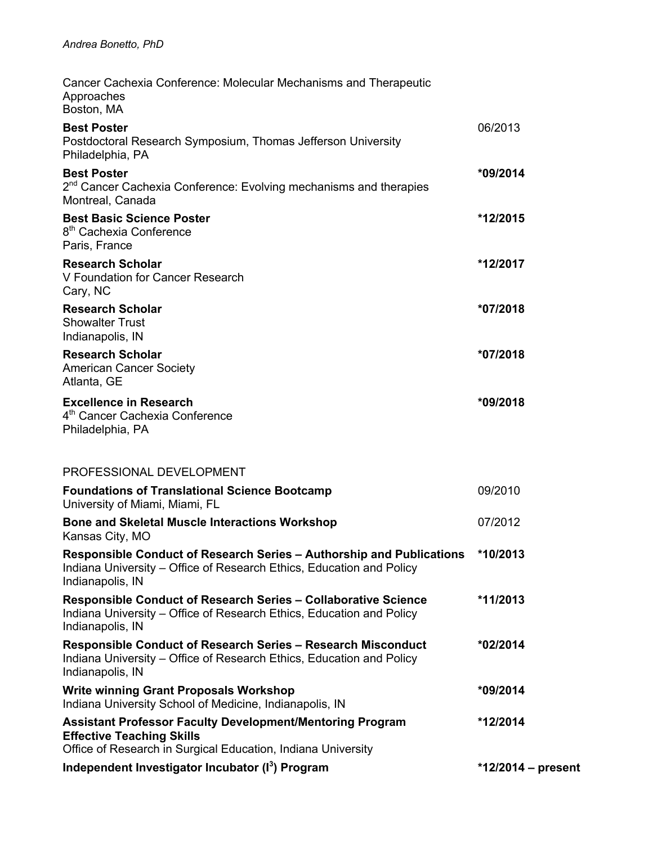| Cancer Cachexia Conference: Molecular Mechanisms and Therapeutic<br>Approaches<br>Boston, MA                                                                         |                    |
|----------------------------------------------------------------------------------------------------------------------------------------------------------------------|--------------------|
| <b>Best Poster</b><br>Postdoctoral Research Symposium, Thomas Jefferson University<br>Philadelphia, PA                                                               | 06/2013            |
| <b>Best Poster</b><br>2 <sup>nd</sup> Cancer Cachexia Conference: Evolving mechanisms and therapies<br>Montreal, Canada                                              | *09/2014           |
| <b>Best Basic Science Poster</b><br>8 <sup>th</sup> Cachexia Conference<br>Paris, France                                                                             | *12/2015           |
| <b>Research Scholar</b><br>V Foundation for Cancer Research<br>Cary, NC                                                                                              | *12/2017           |
| <b>Research Scholar</b><br><b>Showalter Trust</b><br>Indianapolis, IN                                                                                                | *07/2018           |
| <b>Research Scholar</b><br><b>American Cancer Society</b><br>Atlanta, GE                                                                                             | *07/2018           |
| <b>Excellence in Research</b><br>4 <sup>th</sup> Cancer Cachexia Conference<br>Philadelphia, PA                                                                      | *09/2018           |
| PROFESSIONAL DEVELOPMENT                                                                                                                                             |                    |
| <b>Foundations of Translational Science Bootcamp</b><br>University of Miami, Miami, FL                                                                               | 09/2010            |
| <b>Bone and Skeletal Muscle Interactions Workshop</b><br>Kansas City, MO                                                                                             | 07/2012            |
| Responsible Conduct of Research Series - Authorship and Publications<br>Indiana University - Office of Research Ethics, Education and Policy<br>Indianapolis, IN     | *10/2013           |
| Responsible Conduct of Research Series - Collaborative Science<br>Indiana University – Office of Research Ethics, Education and Policy<br>Indianapolis, IN           | *11/2013           |
| <b>Responsible Conduct of Research Series - Research Misconduct</b><br>Indiana University – Office of Research Ethics, Education and Policy<br>Indianapolis, IN      | *02/2014           |
| <b>Write winning Grant Proposals Workshop</b><br>Indiana University School of Medicine, Indianapolis, IN                                                             | *09/2014           |
| <b>Assistant Professor Faculty Development/Mentoring Program</b><br><b>Effective Teaching Skills</b><br>Office of Research in Surgical Education, Indiana University | *12/2014           |
| Independent Investigator Incubator (I <sup>3</sup> ) Program                                                                                                         | *12/2014 – present |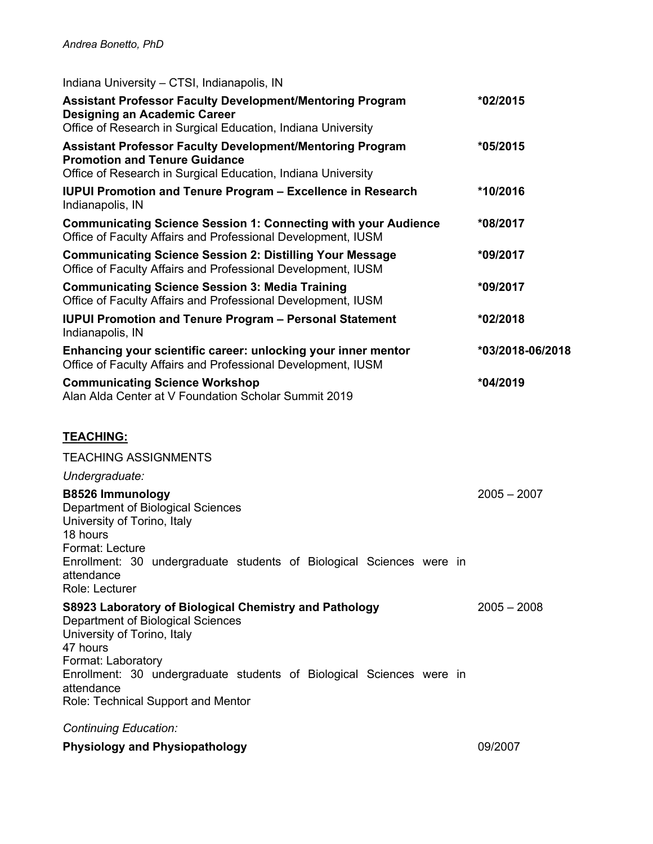| Indiana University - CTSI, Indianapolis, IN                                                                                                                                                                                                                                              |                  |
|------------------------------------------------------------------------------------------------------------------------------------------------------------------------------------------------------------------------------------------------------------------------------------------|------------------|
| <b>Assistant Professor Faculty Development/Mentoring Program</b><br><b>Designing an Academic Career</b><br>Office of Research in Surgical Education, Indiana University                                                                                                                  | *02/2015         |
| <b>Assistant Professor Faculty Development/Mentoring Program</b><br><b>Promotion and Tenure Guidance</b><br>Office of Research in Surgical Education, Indiana University                                                                                                                 | *05/2015         |
| <b>IUPUI Promotion and Tenure Program - Excellence in Research</b><br>Indianapolis, IN                                                                                                                                                                                                   | *10/2016         |
| <b>Communicating Science Session 1: Connecting with your Audience</b><br>Office of Faculty Affairs and Professional Development, IUSM                                                                                                                                                    | *08/2017         |
| <b>Communicating Science Session 2: Distilling Your Message</b><br>Office of Faculty Affairs and Professional Development, IUSM                                                                                                                                                          | *09/2017         |
| <b>Communicating Science Session 3: Media Training</b><br>Office of Faculty Affairs and Professional Development, IUSM                                                                                                                                                                   | *09/2017         |
| <b>IUPUI Promotion and Tenure Program - Personal Statement</b><br>Indianapolis, IN                                                                                                                                                                                                       | *02/2018         |
| Enhancing your scientific career: unlocking your inner mentor<br>Office of Faculty Affairs and Professional Development, IUSM                                                                                                                                                            | *03/2018-06/2018 |
| <b>Communicating Science Workshop</b><br>Alan Alda Center at V Foundation Scholar Summit 2019                                                                                                                                                                                            | *04/2019         |
| <b>TEACHING:</b>                                                                                                                                                                                                                                                                         |                  |
| <b>TEACHING ASSIGNMENTS</b>                                                                                                                                                                                                                                                              |                  |
| Undergraduate:                                                                                                                                                                                                                                                                           |                  |
| <b>B8526 Immunology</b><br>Department of Biological Sciences<br>University of Torino, Italy<br>18 hours<br>Format: Lecture<br>Enrollment: 30 undergraduate students of Biological Sciences were in<br>attendance<br>Role: Lecturer                                                       | $2005 - 2007$    |
| S8923 Laboratory of Biological Chemistry and Pathology<br>Department of Biological Sciences<br>University of Torino, Italy<br>47 hours<br>Format: Laboratory<br>Enrollment: 30 undergraduate students of Biological Sciences were in<br>attendance<br>Role: Technical Support and Mentor | $2005 - 2008$    |
| <b>Continuing Education:</b>                                                                                                                                                                                                                                                             |                  |
| <b>Physiology and Physiopathology</b>                                                                                                                                                                                                                                                    | 09/2007          |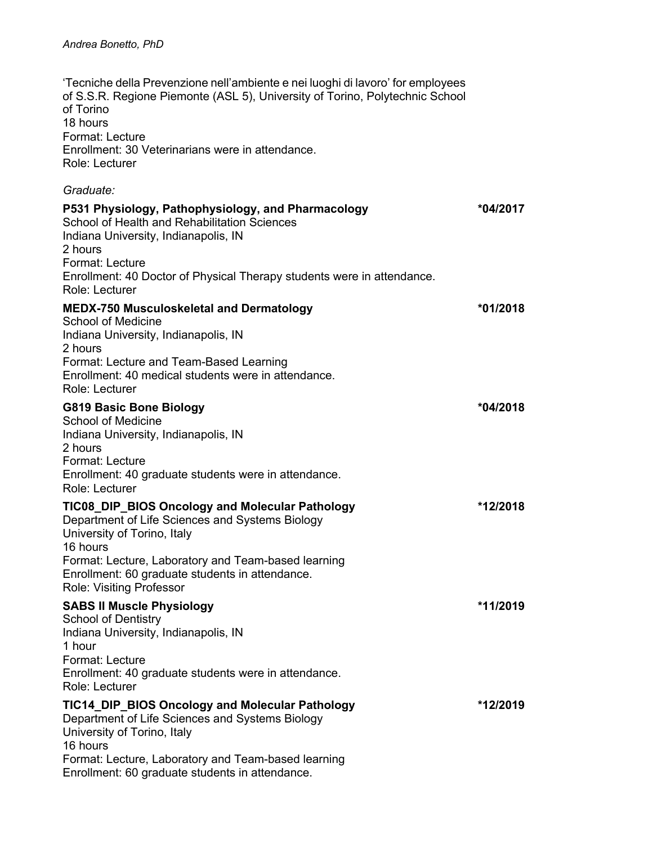'Tecniche della Prevenzione nell'ambiente e nei luoghi di lavoro' for employees of S.S.R. Regione Piemonte (ASL 5), University of Torino, Polytechnic School of Torino 18 hours Format: Lecture Enrollment: 30 Veterinarians were in attendance. Role: Lecturer *Graduate:* **P531 Physiology, Pathophysiology, and Pharmacology \*04/2017** School of Health and Rehabilitation Sciences Indiana University, Indianapolis, IN 2 hours Format: Lecture Enrollment: 40 Doctor of Physical Therapy students were in attendance. Role: Lecturer **MEDX-750 Musculoskeletal and Dermatology \*01/2018** School of Medicine Indiana University, Indianapolis, IN 2 hours Format: Lecture and Team-Based Learning Enrollment: 40 medical students were in attendance. Role: Lecturer **G819 Basic Bone Biology \*04/2018** School of Medicine Indiana University, Indianapolis, IN 2 hours Format: Lecture Enrollment: 40 graduate students were in attendance. Role: Lecturer **TIC08\_DIP\_BIOS Oncology and Molecular Pathology \*12/2018** Department of Life Sciences and Systems Biology University of Torino, Italy 16 hours Format: Lecture, Laboratory and Team-based learning Enrollment: 60 graduate students in attendance. Role: Visiting Professor **SABS II Muscle Physiology \*11/2019** School of Dentistry Indiana University, Indianapolis, IN 1 hour Format: Lecture Enrollment: 40 graduate students were in attendance. Role: Lecturer **TIC14\_DIP\_BIOS Oncology and Molecular Pathology \*12/2019** Department of Life Sciences and Systems Biology University of Torino, Italy 16 hours

Format: Lecture, Laboratory and Team-based learning Enrollment: 60 graduate students in attendance.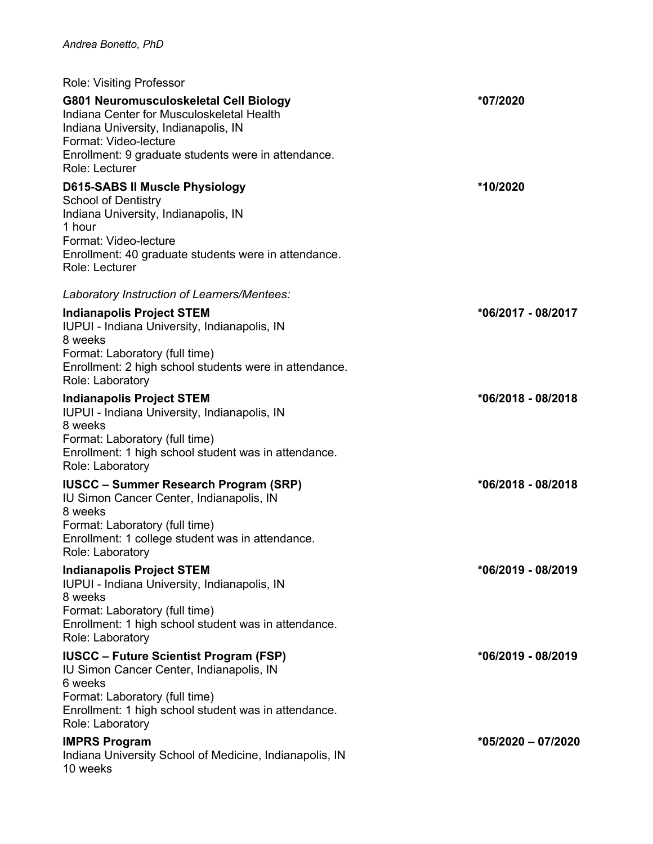| <b>Role: Visiting Professor</b>                                                                                                                                                                                               |                      |
|-------------------------------------------------------------------------------------------------------------------------------------------------------------------------------------------------------------------------------|----------------------|
| G801 Neuromusculoskeletal Cell Biology<br>Indiana Center for Musculoskeletal Health<br>Indiana University, Indianapolis, IN<br>Format: Video-lecture<br>Enrollment: 9 graduate students were in attendance.<br>Role: Lecturer | *07/2020             |
| <b>D615-SABS II Muscle Physiology</b><br><b>School of Dentistry</b><br>Indiana University, Indianapolis, IN<br>1 hour<br>Format: Video-lecture<br>Enrollment: 40 graduate students were in attendance.<br>Role: Lecturer      | *10/2020             |
| Laboratory Instruction of Learners/Mentees:                                                                                                                                                                                   |                      |
| <b>Indianapolis Project STEM</b><br>IUPUI - Indiana University, Indianapolis, IN<br>8 weeks<br>Format: Laboratory (full time)<br>Enrollment: 2 high school students were in attendance.<br>Role: Laboratory                   | *06/2017 - 08/2017   |
| <b>Indianapolis Project STEM</b><br>IUPUI - Indiana University, Indianapolis, IN<br>8 weeks<br>Format: Laboratory (full time)<br>Enrollment: 1 high school student was in attendance.<br>Role: Laboratory                     | $*06/2018 - 08/2018$ |
| <b>IUSCC – Summer Research Program (SRP)</b><br>IU Simon Cancer Center, Indianapolis, IN<br>8 weeks<br>Format: Laboratory (full time)<br>Enrollment: 1 college student was in attendance.<br>Role: Laboratory                 | *06/2018 - 08/2018   |
| <b>Indianapolis Project STEM</b><br>IUPUI - Indiana University, Indianapolis, IN<br>8 weeks<br>Format: Laboratory (full time)<br>Enrollment: 1 high school student was in attendance.<br>Role: Laboratory                     | *06/2019 - 08/2019   |
| <b>IUSCC - Future Scientist Program (FSP)</b><br>IU Simon Cancer Center, Indianapolis, IN<br>6 weeks<br>Format: Laboratory (full time)<br>Enrollment: 1 high school student was in attendance.<br>Role: Laboratory            | *06/2019 - 08/2019   |
| <b>IMPRS Program</b><br>Indiana University School of Medicine, Indianapolis, IN<br>10 weeks                                                                                                                                   | $*05/2020 - 07/2020$ |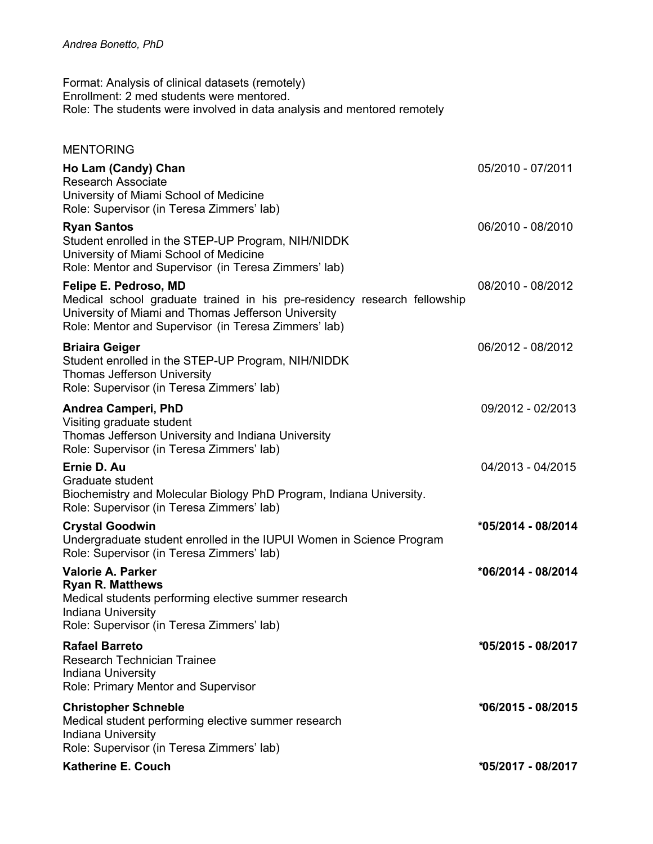Format: Analysis of clinical datasets (remotely) Enrollment: 2 med students were mentored. Role: The students were involved in data analysis and mentored remotely

#### MENTORING

| Ho Lam (Candy) Chan<br><b>Research Associate</b><br>University of Miami School of Medicine<br>Role: Supervisor (in Teresa Zimmers' lab)                                                                          | 05/2010 - 07/2011  |
|------------------------------------------------------------------------------------------------------------------------------------------------------------------------------------------------------------------|--------------------|
| <b>Ryan Santos</b><br>Student enrolled in the STEP-UP Program, NIH/NIDDK<br>University of Miami School of Medicine<br>Role: Mentor and Supervisor (in Teresa Zimmers' lab)                                       | 06/2010 - 08/2010  |
| Felipe E. Pedroso, MD<br>Medical school graduate trained in his pre-residency research fellowship<br>University of Miami and Thomas Jefferson University<br>Role: Mentor and Supervisor (in Teresa Zimmers' lab) | 08/2010 - 08/2012  |
| Briaira Geiger<br>Student enrolled in the STEP-UP Program, NIH/NIDDK<br><b>Thomas Jefferson University</b><br>Role: Supervisor (in Teresa Zimmers' lab)                                                          | 06/2012 - 08/2012  |
| Andrea Camperi, PhD<br>Visiting graduate student<br>Thomas Jefferson University and Indiana University<br>Role: Supervisor (in Teresa Zimmers' lab)                                                              | 09/2012 - 02/2013  |
| Ernie D. Au<br>Graduate student<br>Biochemistry and Molecular Biology PhD Program, Indiana University.<br>Role: Supervisor (in Teresa Zimmers' lab)                                                              | 04/2013 - 04/2015  |
| Crystal Goodwin<br>Undergraduate student enrolled in the IUPUI Women in Science Program<br>Role: Supervisor (in Teresa Zimmers' lab)                                                                             | *05/2014 - 08/2014 |
| Valorie A. Parker<br><b>Ryan R. Matthews</b><br>Medical students performing elective summer research<br>Indiana University<br>Role: Supervisor (in Teresa Zimmers' lab)                                          | *06/2014 - 08/2014 |
| <b>Rafael Barreto</b><br><b>Research Technician Trainee</b><br>Indiana University<br>Role: Primary Mentor and Supervisor                                                                                         | *05/2015 - 08/2017 |
| <b>Christopher Schneble</b><br>Medical student performing elective summer research<br>Indiana University<br>Role: Supervisor (in Teresa Zimmers' lab)                                                            | *06/2015 - 08/2015 |
| <b>Katherine E. Couch</b>                                                                                                                                                                                        | *05/2017 - 08/2017 |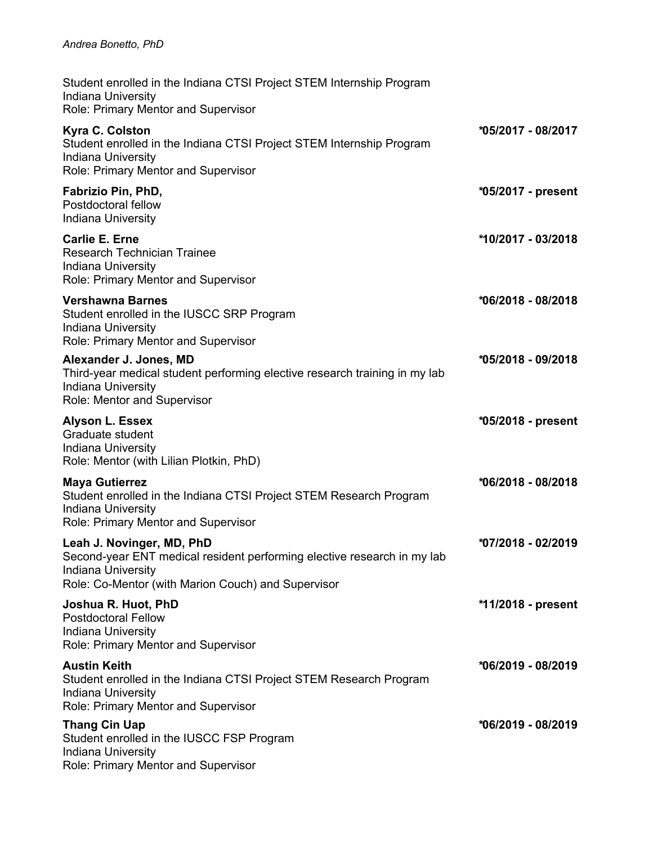| Student enrolled in the Indiana CTSI Project STEM Internship Program<br><b>Indiana University</b><br>Role: Primary Mentor and Supervisor                                         |                    |
|----------------------------------------------------------------------------------------------------------------------------------------------------------------------------------|--------------------|
| Kyra C. Colston<br>Student enrolled in the Indiana CTSI Project STEM Internship Program<br><b>Indiana University</b><br>Role: Primary Mentor and Supervisor                      | *05/2017 - 08/2017 |
| Fabrizio Pin, PhD,<br>Postdoctoral fellow<br><b>Indiana University</b>                                                                                                           | *05/2017 - present |
| <b>Carlie E. Erne</b><br><b>Research Technician Trainee</b><br>Indiana University<br>Role: Primary Mentor and Supervisor                                                         | *10/2017 - 03/2018 |
| <b>Vershawna Barnes</b><br>Student enrolled in the IUSCC SRP Program<br>Indiana University<br>Role: Primary Mentor and Supervisor                                                | *06/2018 - 08/2018 |
| Alexander J. Jones, MD<br>Third-year medical student performing elective research training in my lab<br><b>Indiana University</b><br>Role: Mentor and Supervisor                 | *05/2018 - 09/2018 |
| <b>Alyson L. Essex</b><br>Graduate student<br>Indiana University<br>Role: Mentor (with Lilian Plotkin, PhD)                                                                      | *05/2018 - present |
| <b>Maya Gutierrez</b><br>Student enrolled in the Indiana CTSI Project STEM Research Program<br>Indiana University<br>Role: Primary Mentor and Supervisor                         | *06/2018 - 08/2018 |
| Leah J. Novinger, MD, PhD<br>Second-year ENT medical resident performing elective research in my lab<br>Indiana University<br>Role: Co-Mentor (with Marion Couch) and Supervisor | *07/2018 - 02/2019 |
| Joshua R. Huot, PhD<br><b>Postdoctoral Fellow</b><br>Indiana University<br>Role: Primary Mentor and Supervisor                                                                   | *11/2018 - present |
| <b>Austin Keith</b><br>Student enrolled in the Indiana CTSI Project STEM Research Program<br>Indiana University<br>Role: Primary Mentor and Supervisor                           | *06/2019 - 08/2019 |
| <b>Thang Cin Uap</b><br>Student enrolled in the IUSCC FSP Program<br>Indiana University<br>Role: Primary Mentor and Supervisor                                                   | *06/2019 - 08/2019 |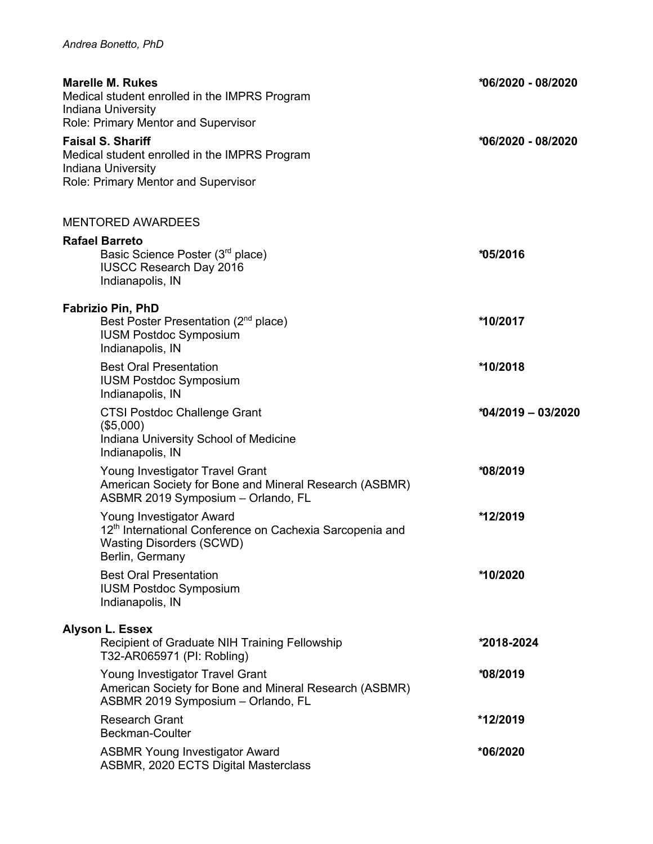| <b>Marelle M. Rukes</b><br>Medical student enrolled in the IMPRS Program<br><b>Indiana University</b><br>Role: Primary Mentor and Supervisor           | *06/2020 - 08/2020 |
|--------------------------------------------------------------------------------------------------------------------------------------------------------|--------------------|
| <b>Faisal S. Shariff</b><br>Medical student enrolled in the IMPRS Program<br>Indiana University<br>Role: Primary Mentor and Supervisor                 | *06/2020 - 08/2020 |
| <b>MENTORED AWARDEES</b>                                                                                                                               |                    |
| <b>Rafael Barreto</b><br>Basic Science Poster (3rd place)<br><b>IUSCC Research Day 2016</b><br>Indianapolis, IN                                        | *05/2016           |
| <b>Fabrizio Pin, PhD</b><br>Best Poster Presentation (2 <sup>nd</sup> place)<br><b>IUSM Postdoc Symposium</b><br>Indianapolis, IN                      | *10/2017           |
| <b>Best Oral Presentation</b><br><b>IUSM Postdoc Symposium</b><br>Indianapolis, IN                                                                     | *10/2018           |
| <b>CTSI Postdoc Challenge Grant</b><br>(\$5,000)<br>Indiana University School of Medicine<br>Indianapolis, IN                                          | *04/2019 - 03/2020 |
| Young Investigator Travel Grant<br>American Society for Bone and Mineral Research (ASBMR)<br>ASBMR 2019 Symposium - Orlando, FL                        | *08/2019           |
| Young Investigator Award<br>12 <sup>th</sup> International Conference on Cachexia Sarcopenia and<br><b>Wasting Disorders (SCWD)</b><br>Berlin, Germany | *12/2019           |
| <b>Best Oral Presentation</b><br><b>IUSM Postdoc Symposium</b><br>Indianapolis, IN                                                                     | *10/2020           |
| <b>Alyson L. Essex</b><br>Recipient of Graduate NIH Training Fellowship<br>T32-AR065971 (PI: Robling)                                                  | *2018-2024         |
| Young Investigator Travel Grant<br>American Society for Bone and Mineral Research (ASBMR)<br>ASBMR 2019 Symposium - Orlando, FL                        | *08/2019           |
| <b>Research Grant</b><br><b>Beckman-Coulter</b>                                                                                                        | *12/2019           |
| <b>ASBMR Young Investigator Award</b><br>ASBMR, 2020 ECTS Digital Masterclass                                                                          | *06/2020           |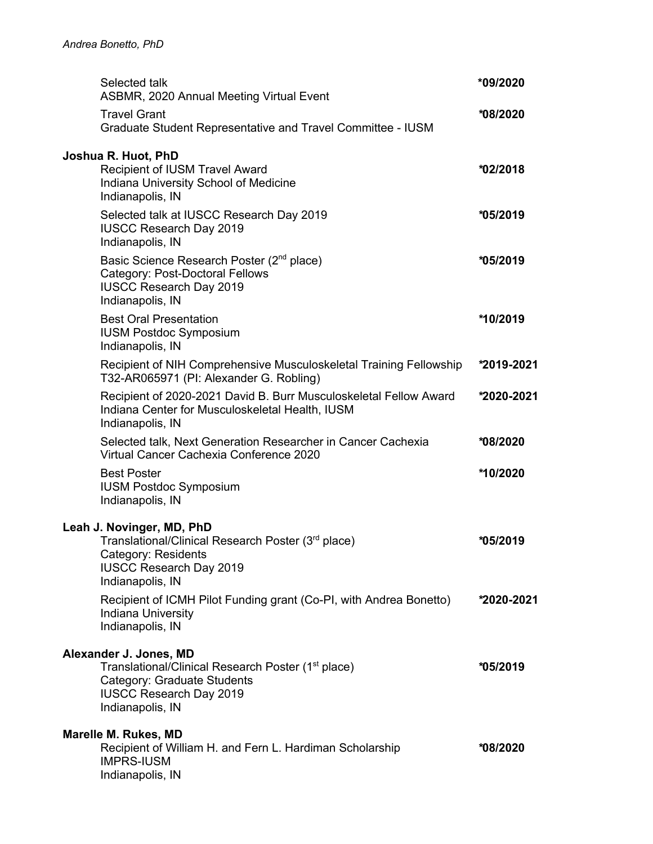| Selected talk<br>ASBMR, 2020 Annual Meeting Virtual Event                                                                                                                     | *09/2020   |
|-------------------------------------------------------------------------------------------------------------------------------------------------------------------------------|------------|
| <b>Travel Grant</b><br>Graduate Student Representative and Travel Committee - IUSM                                                                                            | *08/2020   |
| Joshua R. Huot, PhD<br><b>Recipient of IUSM Travel Award</b><br>Indiana University School of Medicine<br>Indianapolis, IN                                                     | *02/2018   |
| Selected talk at IUSCC Research Day 2019<br><b>IUSCC Research Day 2019</b><br>Indianapolis, IN                                                                                | *05/2019   |
| Basic Science Research Poster (2 <sup>nd</sup> place)<br>Category: Post-Doctoral Fellows<br><b>IUSCC Research Day 2019</b><br>Indianapolis, IN                                | *05/2019   |
| <b>Best Oral Presentation</b><br><b>IUSM Postdoc Symposium</b><br>Indianapolis, IN                                                                                            | *10/2019   |
| Recipient of NIH Comprehensive Musculoskeletal Training Fellowship<br>T32-AR065971 (PI: Alexander G. Robling)                                                                 | *2019-2021 |
| Recipient of 2020-2021 David B. Burr Musculoskeletal Fellow Award<br>Indiana Center for Musculoskeletal Health, IUSM<br>Indianapolis, IN                                      | *2020-2021 |
| Selected talk, Next Generation Researcher in Cancer Cachexia<br>Virtual Cancer Cachexia Conference 2020                                                                       | *08/2020   |
| <b>Best Poster</b><br><b>IUSM Postdoc Symposium</b><br>Indianapolis, IN                                                                                                       | *10/2020   |
| Leah J. Novinger, MD, PhD<br>Translational/Clinical Research Poster (3 <sup>rd</sup> place)<br>Category: Residents<br><b>IUSCC Research Day 2019</b><br>Indianapolis, IN      | *05/2019   |
| Recipient of ICMH Pilot Funding grant (Co-PI, with Andrea Bonetto)<br><b>Indiana University</b><br>Indianapolis, IN                                                           | *2020-2021 |
| Alexander J. Jones, MD<br>Translational/Clinical Research Poster (1 <sup>st</sup> place)<br>Category: Graduate Students<br><b>IUSCC Research Day 2019</b><br>Indianapolis, IN | *05/2019   |
| Marelle M. Rukes, MD<br>Recipient of William H. and Fern L. Hardiman Scholarship<br><b>IMPRS-IUSM</b><br>Indianapolis, IN                                                     | *08/2020   |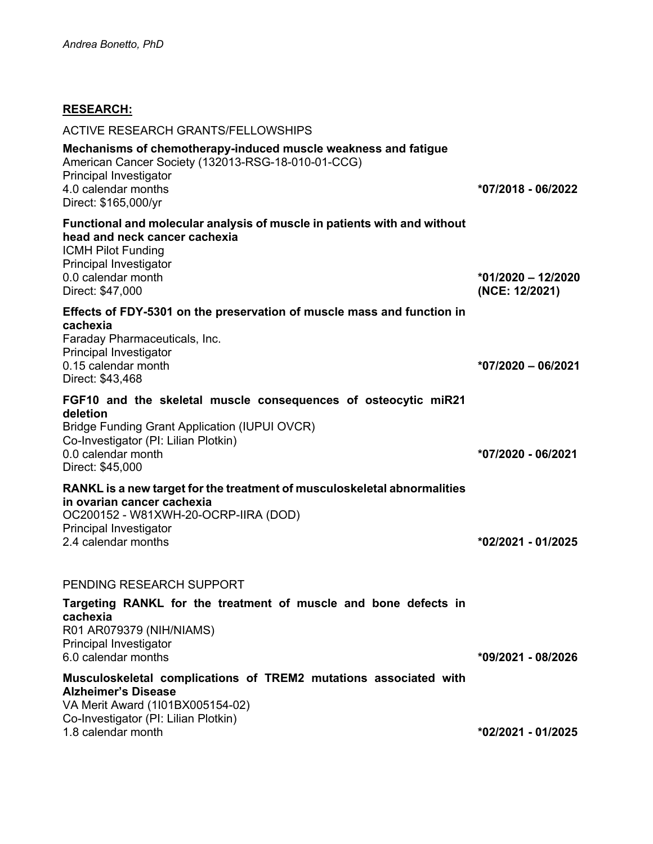# **RESEARCH:**

| <b>ACTIVE RESEARCH GRANTS/FELLOWSHIPS</b>                                                                                                                                                                            |                                        |
|----------------------------------------------------------------------------------------------------------------------------------------------------------------------------------------------------------------------|----------------------------------------|
| Mechanisms of chemotherapy-induced muscle weakness and fatigue<br>American Cancer Society (132013-RSG-18-010-01-CCG)<br>Principal Investigator<br>4.0 calendar months<br>Direct: \$165,000/yr                        | *07/2018 - 06/2022                     |
| Functional and molecular analysis of muscle in patients with and without<br>head and neck cancer cachexia<br><b>ICMH Pilot Funding</b><br>Principal Investigator<br>0.0 calendar month<br>Direct: \$47,000           | $*01/2020 - 12/2020$<br>(NCE: 12/2021) |
| Effects of FDY-5301 on the preservation of muscle mass and function in<br>cachexia<br>Faraday Pharmaceuticals, Inc.<br>Principal Investigator<br>0.15 calendar month<br>Direct: \$43,468                             | $*07/2020 - 06/2021$                   |
| FGF10 and the skeletal muscle consequences of osteocytic miR21<br>deletion<br><b>Bridge Funding Grant Application (IUPUI OVCR)</b><br>Co-Investigator (PI: Lilian Plotkin)<br>0.0 calendar month<br>Direct: \$45,000 | *07/2020 - 06/2021                     |
| RANKL is a new target for the treatment of musculoskeletal abnormalities<br>in ovarian cancer cachexia<br>OC200152 - W81XWH-20-OCRP-IIRA (DOD)<br>Principal Investigator<br>2.4 calendar months                      | *02/2021 - 01/2025                     |
| PENDING RESEARCH SUPPORT                                                                                                                                                                                             |                                        |
| Targeting RANKL for the treatment of muscle and bone defects in<br>cachexia<br>R01 AR079379 (NIH/NIAMS)<br>Principal Investigator<br>6.0 calendar months                                                             | *09/2021 - 08/2026                     |
| Musculoskeletal complications of TREM2 mutations associated with<br><b>Alzheimer's Disease</b><br>VA Merit Award (1l01BX005154-02)<br>Co-Investigator (PI: Lilian Plotkin)<br>1.8 calendar month                     | *02/2021 - 01/2025                     |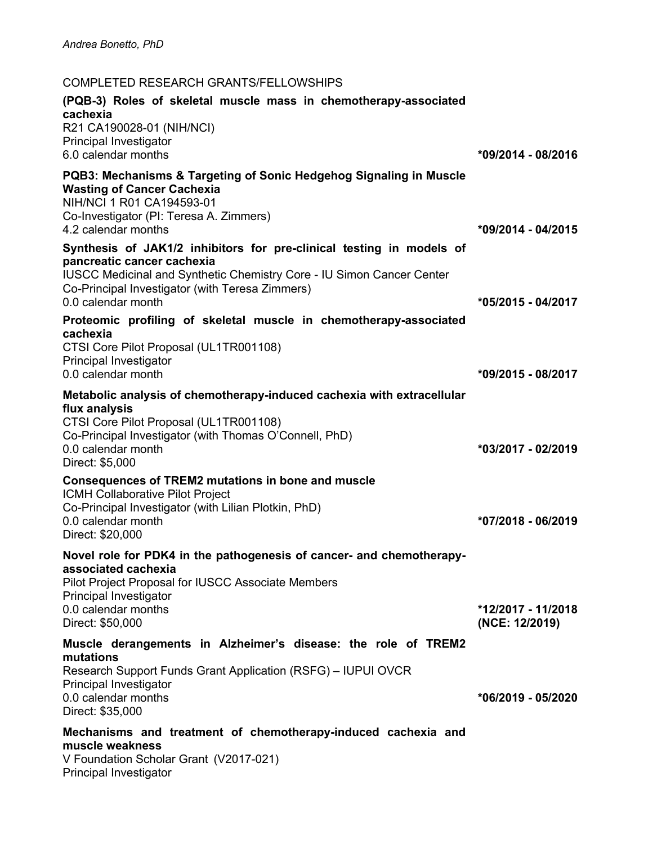# COMPLETED RESEARCH GRANTS/FELLOWSHIPS

| (PQB-3) Roles of skeletal muscle mass in chemotherapy-associated<br>cachexia<br>R21 CA190028-01 (NIH/NCI)<br>Principal Investigator<br>6.0 calendar months                                                                                                  | *09/2014 - 08/2016                   |
|-------------------------------------------------------------------------------------------------------------------------------------------------------------------------------------------------------------------------------------------------------------|--------------------------------------|
| <b>PQB3: Mechanisms &amp; Targeting of Sonic Hedgehog Signaling in Muscle</b><br><b>Wasting of Cancer Cachexia</b><br>NIH/NCI 1 R01 CA194593-01<br>Co-Investigator (PI: Teresa A. Zimmers)<br>4.2 calendar months                                           | *09/2014 - 04/2015                   |
| Synthesis of JAK1/2 inhibitors for pre-clinical testing in models of<br>pancreatic cancer cachexia<br><b>IUSCC Medicinal and Synthetic Chemistry Core - IU Simon Cancer Center</b><br>Co-Principal Investigator (with Teresa Zimmers)<br>0.0 calendar month | *05/2015 - 04/2017                   |
| Proteomic profiling of skeletal muscle in chemotherapy-associated<br>cachexia<br>CTSI Core Pilot Proposal (UL1TR001108)<br><b>Principal Investigator</b><br>0.0 calendar month                                                                              | *09/2015 - 08/2017                   |
| Metabolic analysis of chemotherapy-induced cachexia with extracellular<br>flux analysis<br>CTSI Core Pilot Proposal (UL1TR001108)<br>Co-Principal Investigator (with Thomas O'Connell, PhD)<br>0.0 calendar month                                           | *03/2017 - 02/2019                   |
| Direct: \$5,000<br><b>Consequences of TREM2 mutations in bone and muscle</b><br><b>ICMH Collaborative Pilot Project</b><br>Co-Principal Investigator (with Lilian Plotkin, PhD)<br>0.0 calendar month<br>Direct: \$20,000                                   | *07/2018 - 06/2019                   |
| Novel role for PDK4 in the pathogenesis of cancer- and chemotherapy-<br>associated cachexia<br>Pilot Project Proposal for IUSCC Associate Members<br>Principal Investigator<br>0.0 calendar months<br>Direct: \$50,000                                      | *12/2017 - 11/2018                   |
| Muscle derangements in Alzheimer's disease: the role of TREM2<br>mutations<br>Research Support Funds Grant Application (RSFG) - IUPUI OVCR<br>Principal Investigator<br>0.0 calendar months<br>Direct: \$35,000                                             | (NCE: 12/2019)<br>*06/2019 - 05/2020 |
| Mechanisms and treatment of chemotherapy-induced cachexia and<br>muscle weakness<br>V Foundation Scholar Grant (V2017-021)<br>Principal Investigator                                                                                                        |                                      |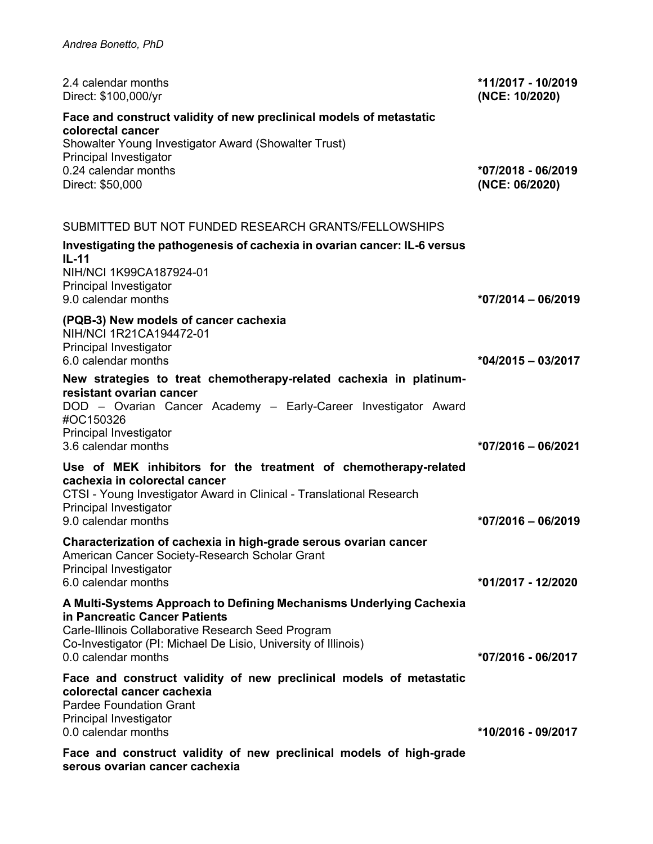| 2.4 calendar months<br>Direct: \$100,000/yr                                                                                                                                                        | *11/2017 - 10/2019<br>(NCE: 10/2020) |
|----------------------------------------------------------------------------------------------------------------------------------------------------------------------------------------------------|--------------------------------------|
| Face and construct validity of new preclinical models of metastatic<br>colorectal cancer<br>Showalter Young Investigator Award (Showalter Trust)<br>Principal Investigator<br>0.24 calendar months | *07/2018 - 06/2019                   |
| Direct: \$50,000                                                                                                                                                                                   | (NCE: 06/2020)                       |
| SUBMITTED BUT NOT FUNDED RESEARCH GRANTS/FELLOWSHIPS                                                                                                                                               |                                      |
| Investigating the pathogenesis of cachexia in ovarian cancer: IL-6 versus<br>$IL-11$                                                                                                               |                                      |
| NIH/NCI 1K99CA187924-01<br>Principal Investigator<br>9.0 calendar months                                                                                                                           | $*07/2014 - 06/2019$                 |
| (PQB-3) New models of cancer cachexia                                                                                                                                                              |                                      |
| NIH/NCI 1R21CA194472-01<br>Principal Investigator                                                                                                                                                  |                                      |
| 6.0 calendar months                                                                                                                                                                                | $*04/2015 - 03/2017$                 |
| New strategies to treat chemotherapy-related cachexia in platinum-<br>resistant ovarian cancer<br>DOD - Ovarian Cancer Academy - Early-Career Investigator Award<br>#OC150326                      |                                      |
| Principal Investigator<br>3.6 calendar months                                                                                                                                                      | *07/2016 - 06/2021                   |
| Use of MEK inhibitors for the treatment of chemotherapy-related                                                                                                                                    |                                      |
| cachexia in colorectal cancer<br>CTSI - Young Investigator Award in Clinical - Translational Research<br>Principal Investigator                                                                    |                                      |
| 9.0 calendar months                                                                                                                                                                                | $*07/2016 - 06/2019$                 |
| Characterization of cachexia in high-grade serous ovarian cancer<br>American Cancer Society-Research Scholar Grant<br>Principal Investigator                                                       |                                      |
| 6.0 calendar months                                                                                                                                                                                | *01/2017 - 12/2020                   |
| A Multi-Systems Approach to Defining Mechanisms Underlying Cachexia<br>in Pancreatic Cancer Patients<br>Carle-Illinois Collaborative Research Seed Program                                         |                                      |
| Co-Investigator (PI: Michael De Lisio, University of Illinois)<br>0.0 calendar months                                                                                                              | *07/2016 - 06/2017                   |
| Face and construct validity of new preclinical models of metastatic<br>colorectal cancer cachexia<br><b>Pardee Foundation Grant</b><br>Principal Investigator<br>0.0 calendar months               | *10/2016 - 09/2017                   |
| Face and construct validity of new preclinical models of high-grade<br>serous ovarian cancer cachexia                                                                                              |                                      |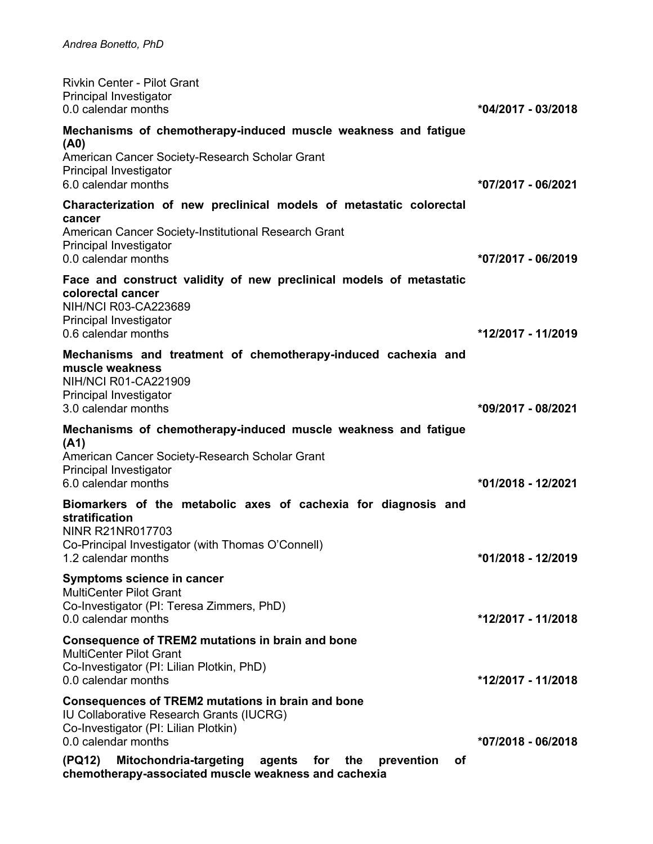| <b>Rivkin Center - Pilot Grant</b><br>Principal Investigator<br>0.0 calendar months                                                                                 | *04/2017 - 03/2018 |
|---------------------------------------------------------------------------------------------------------------------------------------------------------------------|--------------------|
| Mechanisms of chemotherapy-induced muscle weakness and fatigue<br>(A0)<br>American Cancer Society-Research Scholar Grant                                            |                    |
| Principal Investigator<br>6.0 calendar months                                                                                                                       | *07/2017 - 06/2021 |
| Characterization of new preclinical models of metastatic colorectal<br>cancer                                                                                       |                    |
| American Cancer Society-Institutional Research Grant<br>Principal Investigator<br>0.0 calendar months                                                               | *07/2017 - 06/2019 |
| Face and construct validity of new preclinical models of metastatic<br>colorectal cancer<br>NIH/NCI R03-CA223689<br>Principal Investigator                          |                    |
| 0.6 calendar months                                                                                                                                                 | *12/2017 - 11/2019 |
| Mechanisms and treatment of chemotherapy-induced cachexia and<br>muscle weakness<br><b>NIH/NCI R01-CA221909</b><br>Principal Investigator<br>3.0 calendar months    | *09/2017 - 08/2021 |
| Mechanisms of chemotherapy-induced muscle weakness and fatigue                                                                                                      |                    |
| (A1)<br>American Cancer Society-Research Scholar Grant<br>Principal Investigator<br>6.0 calendar months                                                             | *01/2018 - 12/2021 |
| Biomarkers of the metabolic axes of cachexia for diagnosis and<br>stratification<br><b>NINR R21NR017703</b>                                                         |                    |
| Co-Principal Investigator (with Thomas O'Connell)<br>1.2 calendar months                                                                                            | *01/2018 - 12/2019 |
| Symptoms science in cancer<br><b>MultiCenter Pilot Grant</b><br>Co-Investigator (PI: Teresa Zimmers, PhD)<br>0.0 calendar months                                    | *12/2017 - 11/2018 |
| Consequence of TREM2 mutations in brain and bone<br><b>MultiCenter Pilot Grant</b><br>Co-Investigator (PI: Lilian Plotkin, PhD)<br>0.0 calendar months              | *12/2017 - 11/2018 |
| Consequences of TREM2 mutations in brain and bone<br><b>IU Collaborative Research Grants (IUCRG)</b><br>Co-Investigator (PI: Lilian Plotkin)<br>0.0 calendar months | *07/2018 - 06/2018 |
| (PQ12)<br>Mitochondria-targeting<br>agents for the<br>prevention<br>οf<br>chemotherapy-associated muscle weakness and cachexia                                      |                    |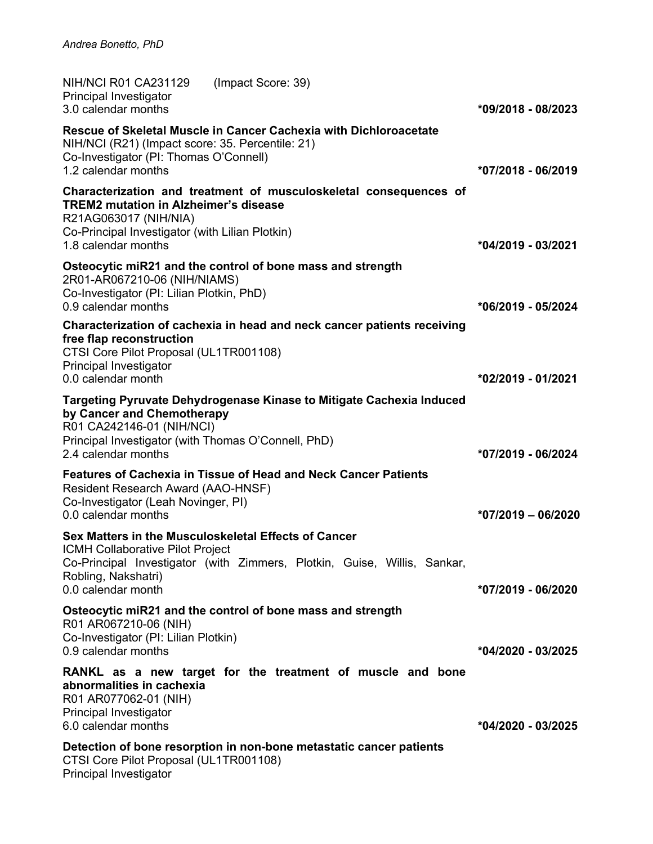| <b>NIH/NCI R01 CA231129</b><br>Principal Investigator<br>3.0 calendar months                                                                    | (Impact Score: 39)                                                                                                               | *09/2018 - 08/2023   |
|-------------------------------------------------------------------------------------------------------------------------------------------------|----------------------------------------------------------------------------------------------------------------------------------|----------------------|
| NIH/NCI (R21) (Impact score: 35. Percentile: 21)<br>Co-Investigator (PI: Thomas O'Connell)<br>1.2 calendar months                               | Rescue of Skeletal Muscle in Cancer Cachexia with Dichloroacetate                                                                | *07/2018 - 06/2019   |
| <b>TREM2 mutation in Alzheimer's disease</b><br>R21AG063017 (NIH/NIA)<br>Co-Principal Investigator (with Lilian Plotkin)<br>1.8 calendar months | Characterization and treatment of musculoskeletal consequences of                                                                | *04/2019 - 03/2021   |
| 2R01-AR067210-06 (NIH/NIAMS)<br>Co-Investigator (PI: Lilian Plotkin, PhD)<br>0.9 calendar months                                                | Osteocytic miR21 and the control of bone mass and strength                                                                       | *06/2019 - 05/2024   |
| free flap reconstruction<br>CTSI Core Pilot Proposal (UL1TR001108)<br>Principal Investigator<br>0.0 calendar month                              | Characterization of cachexia in head and neck cancer patients receiving                                                          | *02/2019 - 01/2021   |
| by Cancer and Chemotherapy<br>R01 CA242146-01 (NIH/NCI)<br>Principal Investigator (with Thomas O'Connell, PhD)<br>2.4 calendar months           | Targeting Pyruvate Dehydrogenase Kinase to Mitigate Cachexia Induced                                                             | *07/2019 - 06/2024   |
| Resident Research Award (AAO-HNSF)<br>Co-Investigator (Leah Novinger, PI)<br>0.0 calendar months                                                | Features of Cachexia in Tissue of Head and Neck Cancer Patients                                                                  | $*07/2019 - 06/2020$ |
| ICMH Collaborative Pilot Project<br>Robling, Nakshatri)<br>0.0 calendar month                                                                   | Sex Matters in the Musculoskeletal Effects of Cancer<br>Co-Principal Investigator (with Zimmers, Plotkin, Guise, Willis, Sankar, | *07/2019 - 06/2020   |
| R01 AR067210-06 (NIH)<br>Co-Investigator (PI: Lilian Plotkin)<br>0.9 calendar months                                                            | Osteocytic miR21 and the control of bone mass and strength                                                                       | *04/2020 - 03/2025   |
| abnormalities in cachexia<br>R01 AR077062-01 (NIH)<br>Principal Investigator<br>6.0 calendar months                                             | RANKL as a new target for the treatment of muscle and bone                                                                       | *04/2020 - 03/2025   |
| CTSI Core Pilot Proposal (UL1TR001108)<br>Principal Investigator                                                                                | Detection of bone resorption in non-bone metastatic cancer patients                                                              |                      |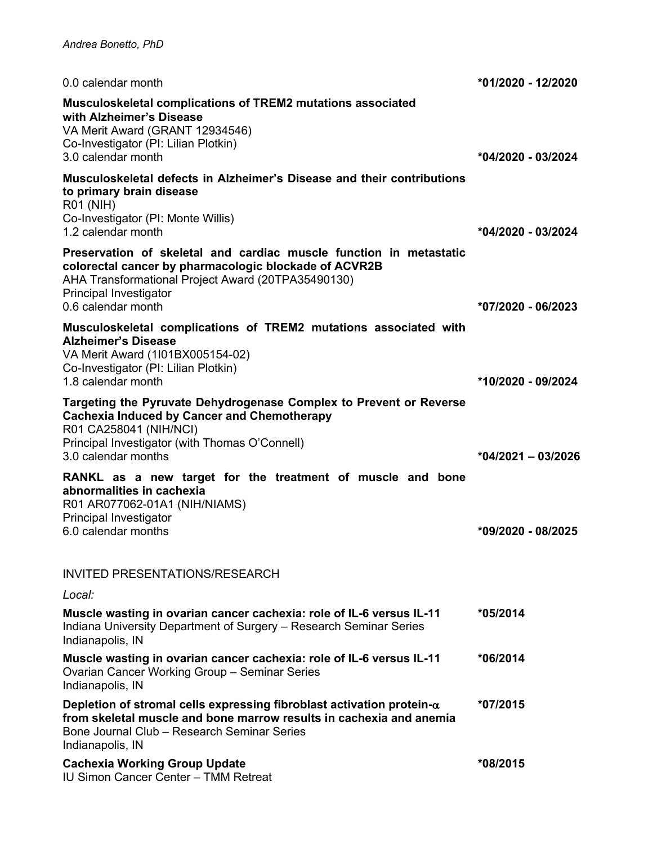| 0.0 calendar month                                                                                                                                                                                                                | *01/2020 - 12/2020   |
|-----------------------------------------------------------------------------------------------------------------------------------------------------------------------------------------------------------------------------------|----------------------|
| Musculoskeletal complications of TREM2 mutations associated<br>with Alzheimer's Disease<br>VA Merit Award (GRANT 12934546)<br>Co-Investigator (PI: Lilian Plotkin)<br>3.0 calendar month                                          | *04/2020 - 03/2024   |
| Musculoskeletal defects in Alzheimer's Disease and their contributions<br>to primary brain disease<br><b>R01 (NIH)</b><br>Co-Investigator (PI: Monte Willis)<br>1.2 calendar month                                                | *04/2020 - 03/2024   |
| Preservation of skeletal and cardiac muscle function in metastatic<br>colorectal cancer by pharmacologic blockade of ACVR2B<br>AHA Transformational Project Award (20TPA35490130)<br>Principal Investigator<br>0.6 calendar month | *07/2020 - 06/2023   |
| Musculoskeletal complications of TREM2 mutations associated with<br><b>Alzheimer's Disease</b><br>VA Merit Award (1l01BX005154-02)<br>Co-Investigator (PI: Lilian Plotkin)<br>1.8 calendar month                                  | *10/2020 - 09/2024   |
| Targeting the Pyruvate Dehydrogenase Complex to Prevent or Reverse<br><b>Cachexia Induced by Cancer and Chemotherapy</b><br>R01 CA258041 (NIH/NCI)<br>Principal Investigator (with Thomas O'Connell)<br>3.0 calendar months       | $*04/2021 - 03/2026$ |
| RANKL as a new target for the treatment of muscle and bone<br>abnormalities in cachexia<br>R01 AR077062-01A1 (NIH/NIAMS)<br>Principal Investigator<br>6.0 calendar months                                                         | *09/2020 - 08/2025   |
| <b>INVITED PRESENTATIONS/RESEARCH</b>                                                                                                                                                                                             |                      |
| Local:                                                                                                                                                                                                                            |                      |
| Muscle wasting in ovarian cancer cachexia: role of IL-6 versus IL-11<br>Indiana University Department of Surgery - Research Seminar Series<br>Indianapolis, IN                                                                    | *05/2014             |
| Muscle wasting in ovarian cancer cachexia: role of IL-6 versus IL-11<br>Ovarian Cancer Working Group - Seminar Series<br>Indianapolis, IN                                                                                         | *06/2014             |
| Depletion of stromal cells expressing fibroblast activation protein- $\alpha$<br>from skeletal muscle and bone marrow results in cachexia and anemia<br>Bone Journal Club - Research Seminar Series<br>Indianapolis, IN           | *07/2015             |
| <b>Cachexia Working Group Update</b><br><b>IU Simon Cancer Center - TMM Retreat</b>                                                                                                                                               | *08/2015             |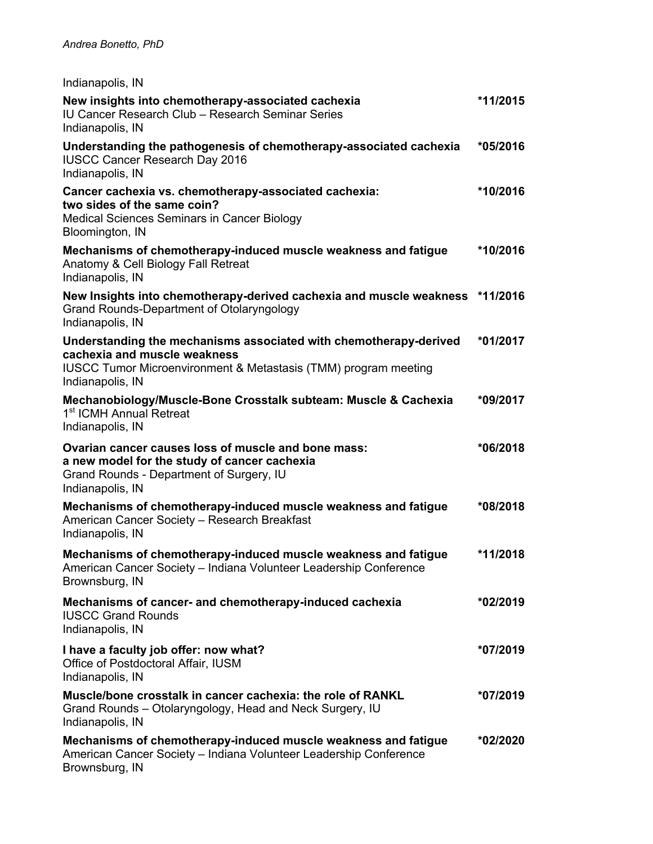Indianapolis, IN

| New insights into chemotherapy-associated cachexia<br>IU Cancer Research Club - Research Seminar Series<br>Indianapolis, IN                                                                         | *11/2015   |
|-----------------------------------------------------------------------------------------------------------------------------------------------------------------------------------------------------|------------|
| Understanding the pathogenesis of chemotherapy-associated cachexia<br><b>IUSCC Cancer Research Day 2016</b><br>Indianapolis, IN                                                                     | *05/2016   |
| Cancer cachexia vs. chemotherapy-associated cachexia:<br>two sides of the same coin?<br>Medical Sciences Seminars in Cancer Biology<br>Bloomington, IN                                              | *10/2016   |
| Mechanisms of chemotherapy-induced muscle weakness and fatigue<br>Anatomy & Cell Biology Fall Retreat<br>Indianapolis, IN                                                                           | *10/2016   |
| New Insights into chemotherapy-derived cachexia and muscle weakness *11/2016<br>Grand Rounds-Department of Otolaryngology<br>Indianapolis, IN                                                       |            |
| Understanding the mechanisms associated with chemotherapy-derived<br>cachexia and muscle weakness<br><b>IUSCC Tumor Microenvironment &amp; Metastasis (TMM) program meeting</b><br>Indianapolis, IN | $*01/2017$ |
| Mechanobiology/Muscle-Bone Crosstalk subteam: Muscle & Cachexia<br>1 <sup>st</sup> ICMH Annual Retreat<br>Indianapolis, IN                                                                          | *09/2017   |
| Ovarian cancer causes loss of muscle and bone mass:<br>a new model for the study of cancer cachexia<br>Grand Rounds - Department of Surgery, IU<br>Indianapolis, IN                                 | *06/2018   |
| Mechanisms of chemotherapy-induced muscle weakness and fatigue<br>American Cancer Society - Research Breakfast<br>Indianapolis, IN                                                                  | *08/2018   |
| Mechanisms of chemotherapy-induced muscle weakness and fatigue<br>American Cancer Society - Indiana Volunteer Leadership Conference<br>Brownsburg, IN                                               | *11/2018   |
| Mechanisms of cancer- and chemotherapy-induced cachexia<br><b>IUSCC Grand Rounds</b><br>Indianapolis, IN                                                                                            | $*02/2019$ |
| I have a faculty job offer: now what?<br>Office of Postdoctoral Affair, IUSM<br>Indianapolis, IN                                                                                                    | *07/2019   |
| Muscle/bone crosstalk in cancer cachexia: the role of RANKL<br>Grand Rounds - Otolaryngology, Head and Neck Surgery, IU<br>Indianapolis, IN                                                         | *07/2019   |
| Mechanisms of chemotherapy-induced muscle weakness and fatigue<br>American Cancer Society - Indiana Volunteer Leadership Conference<br>Brownsburg, IN                                               | *02/2020   |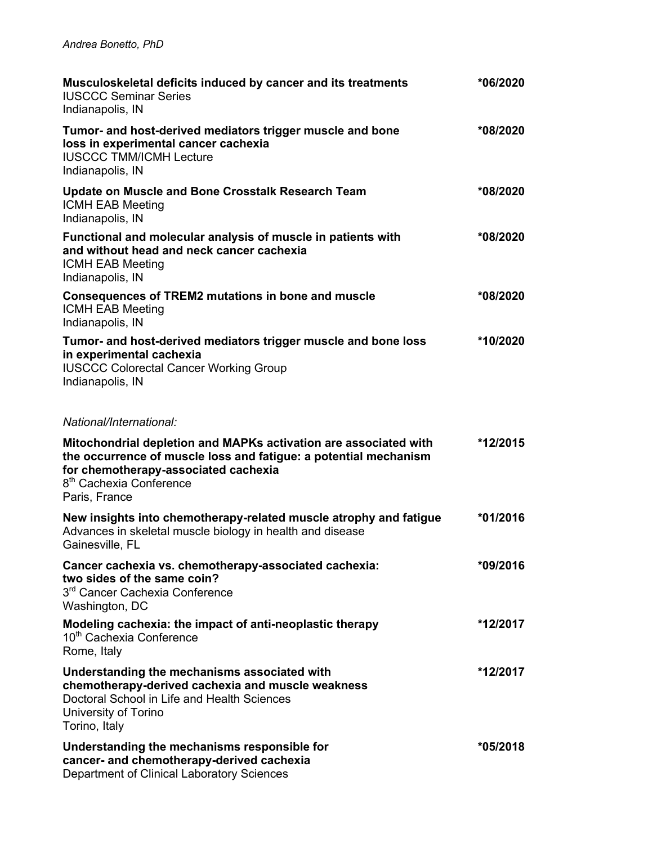| Musculoskeletal deficits induced by cancer and its treatments<br><b>IUSCCC Seminar Series</b><br>Indianapolis, IN                                                                                                                    | *06/2020   |
|--------------------------------------------------------------------------------------------------------------------------------------------------------------------------------------------------------------------------------------|------------|
| Tumor- and host-derived mediators trigger muscle and bone<br>loss in experimental cancer cachexia<br><b>IUSCCC TMM/ICMH Lecture</b><br>Indianapolis, IN                                                                              | *08/2020   |
| <b>Update on Muscle and Bone Crosstalk Research Team</b><br><b>ICMH EAB Meeting</b><br>Indianapolis, IN                                                                                                                              | *08/2020   |
| Functional and molecular analysis of muscle in patients with<br>and without head and neck cancer cachexia<br><b>ICMH EAB Meeting</b><br>Indianapolis, IN                                                                             | *08/2020   |
| Consequences of TREM2 mutations in bone and muscle<br><b>ICMH EAB Meeting</b><br>Indianapolis, IN                                                                                                                                    | *08/2020   |
| Tumor- and host-derived mediators trigger muscle and bone loss<br>in experimental cachexia<br><b>IUSCCC Colorectal Cancer Working Group</b><br>Indianapolis, IN                                                                      | *10/2020   |
| National/International:                                                                                                                                                                                                              |            |
| Mitochondrial depletion and MAPKs activation are associated with<br>the occurrence of muscle loss and fatigue: a potential mechanism<br>for chemotherapy-associated cachexia<br>8 <sup>th</sup> Cachexia Conference<br>Paris, France | *12/2015   |
| New insights into chemotherapy-related muscle atrophy and fatigue<br>Advances in skeletal muscle biology in health and disease<br>Gainesville, FL                                                                                    | $*01/2016$ |
| Cancer cachexia vs. chemotherapy-associated cachexia:<br>two sides of the same coin?<br>3 <sup>rd</sup> Cancer Cachexia Conference<br>Washington, DC                                                                                 | *09/2016   |
| Modeling cachexia: the impact of anti-neoplastic therapy<br>10 <sup>th</sup> Cachexia Conference<br>Rome, Italy                                                                                                                      | *12/2017   |
| Understanding the mechanisms associated with<br>chemotherapy-derived cachexia and muscle weakness<br>Doctoral School in Life and Health Sciences<br>University of Torino<br>Torino, Italy                                            | *12/2017   |
| Understanding the mechanisms responsible for<br>cancer- and chemotherapy-derived cachexia<br>Department of Clinical Laboratory Sciences                                                                                              | *05/2018   |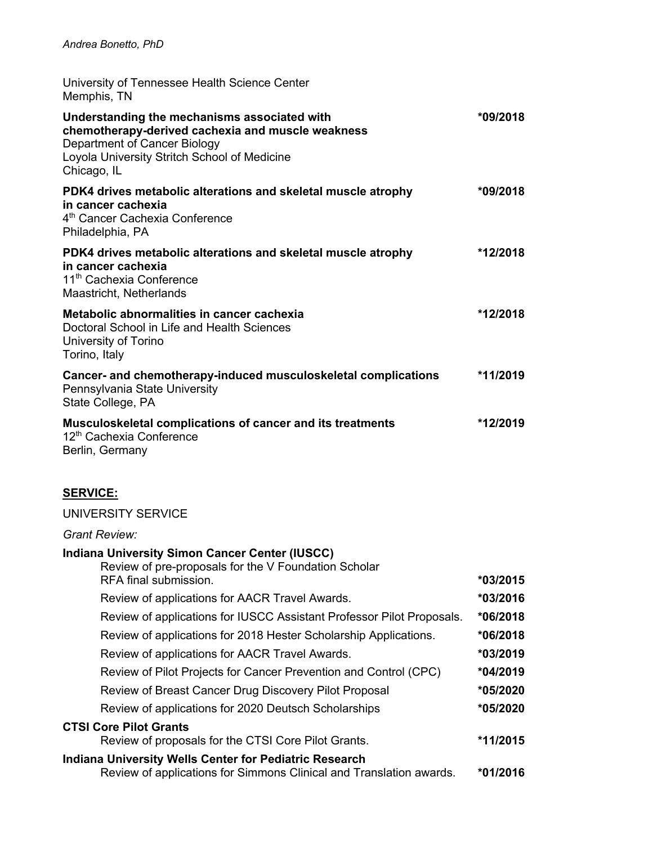| University of Tennessee Health Science Center<br>Memphis, TN                                                                                                                                     |            |
|--------------------------------------------------------------------------------------------------------------------------------------------------------------------------------------------------|------------|
| Understanding the mechanisms associated with<br>chemotherapy-derived cachexia and muscle weakness<br>Department of Cancer Biology<br>Loyola University Stritch School of Medicine<br>Chicago, IL | *09/2018   |
| PDK4 drives metabolic alterations and skeletal muscle atrophy<br>in cancer cachexia<br>4 <sup>th</sup> Cancer Cachexia Conference<br>Philadelphia, PA                                            | $*09/2018$ |
| PDK4 drives metabolic alterations and skeletal muscle atrophy<br>in cancer cachexia<br>11 <sup>th</sup> Cachexia Conference<br>Maastricht, Netherlands                                           | *12/2018   |
| Metabolic abnormalities in cancer cachexia<br>Doctoral School in Life and Health Sciences<br>University of Torino<br>Torino, Italy                                                               | *12/2018   |
| Cancer- and chemotherapy-induced musculoskeletal complications<br>Pennsylvania State University<br>State College, PA                                                                             | *11/2019   |
| <b>Musculoskeletal complications of cancer and its treatments</b><br>12 <sup>th</sup> Cachexia Conference<br>Berlin, Germany                                                                     | *12/2019   |

# **SERVICE:**

#### UNIVERSITY SERVICE

| Grant Review:                                                                                                                          |            |
|----------------------------------------------------------------------------------------------------------------------------------------|------------|
| <b>Indiana University Simon Cancer Center (IUSCC)</b><br>Review of pre-proposals for the V Foundation Scholar<br>RFA final submission. | $*03/2015$ |
| Review of applications for AACR Travel Awards.                                                                                         | *03/2016   |
| Review of applications for IUSCC Assistant Professor Pilot Proposals.                                                                  | $*06/2018$ |
| Review of applications for 2018 Hester Scholarship Applications.                                                                       | $*06/2018$ |
| Review of applications for AACR Travel Awards.                                                                                         | $*03/2019$ |
| Review of Pilot Projects for Cancer Prevention and Control (CPC)                                                                       | $*04/2019$ |
| Review of Breast Cancer Drug Discovery Pilot Proposal                                                                                  | *05/2020   |
| Review of applications for 2020 Deutsch Scholarships                                                                                   | *05/2020   |
| <b>CTSI Core Pilot Grants</b>                                                                                                          |            |
| Review of proposals for the CTSI Core Pilot Grants.                                                                                    | *11/2015   |
| <b>Indiana University Wells Center for Pediatric Research</b><br>Review of applications for Simmons Clinical and Translation awards.   | $*01/2016$ |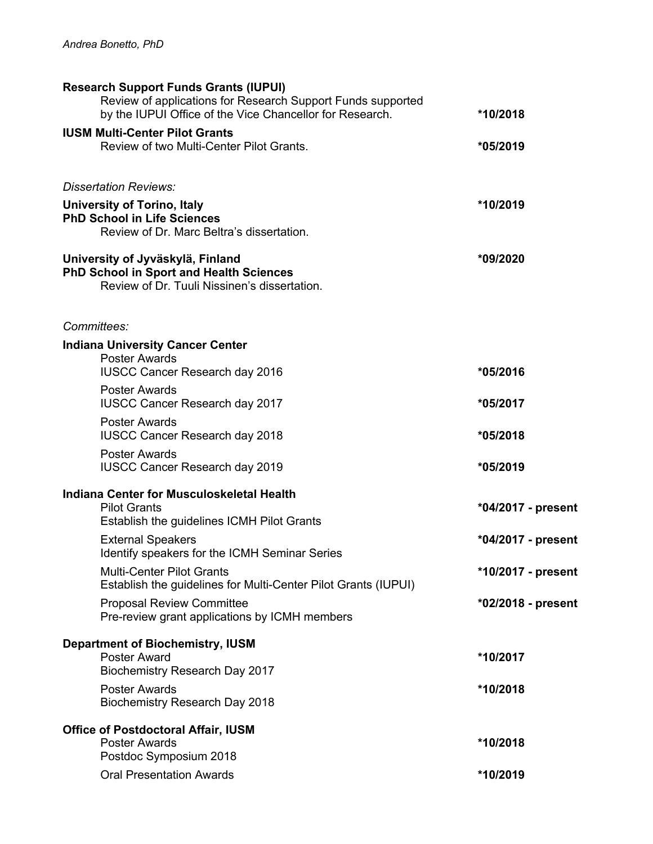| <b>Research Support Funds Grants (IUPUI)</b><br>Review of applications for Research Support Funds supported<br>by the IUPUI Office of the Vice Chancellor for Research. | *10/2018           |
|-------------------------------------------------------------------------------------------------------------------------------------------------------------------------|--------------------|
| <b>IUSM Multi-Center Pilot Grants</b><br>Review of two Multi-Center Pilot Grants.                                                                                       | *05/2019           |
| <b>Dissertation Reviews:</b>                                                                                                                                            |                    |
| <b>University of Torino, Italy</b><br><b>PhD School in Life Sciences</b><br>Review of Dr. Marc Beltra's dissertation.                                                   | *10/2019           |
| University of Jyväskylä, Finland<br><b>PhD School in Sport and Health Sciences</b><br>Review of Dr. Tuuli Nissinen's dissertation.                                      | *09/2020           |
| Committees:                                                                                                                                                             |                    |
| <b>Indiana University Cancer Center</b><br><b>Poster Awards</b>                                                                                                         |                    |
| <b>IUSCC Cancer Research day 2016</b>                                                                                                                                   | *05/2016           |
| <b>Poster Awards</b><br><b>IUSCC Cancer Research day 2017</b>                                                                                                           | *05/2017           |
| <b>Poster Awards</b><br><b>IUSCC Cancer Research day 2018</b>                                                                                                           | *05/2018           |
| <b>Poster Awards</b><br><b>IUSCC Cancer Research day 2019</b>                                                                                                           | *05/2019           |
| Indiana Center for Musculoskeletal Health                                                                                                                               |                    |
| <b>Pilot Grants</b><br>Establish the guidelines ICMH Pilot Grants                                                                                                       | *04/2017 - present |
| <b>External Speakers</b><br>Identify speakers for the ICMH Seminar Series                                                                                               | *04/2017 - present |
| <b>Multi-Center Pilot Grants</b><br>Establish the guidelines for Multi-Center Pilot Grants (IUPUI)                                                                      | *10/2017 - present |
| <b>Proposal Review Committee</b><br>Pre-review grant applications by ICMH members                                                                                       | *02/2018 - present |
| <b>Department of Biochemistry, IUSM</b>                                                                                                                                 |                    |
| Poster Award<br>Biochemistry Research Day 2017                                                                                                                          | *10/2017           |
| <b>Poster Awards</b><br><b>Biochemistry Research Day 2018</b>                                                                                                           | *10/2018           |
| <b>Office of Postdoctoral Affair, IUSM</b>                                                                                                                              |                    |
| <b>Poster Awards</b><br>Postdoc Symposium 2018                                                                                                                          | *10/2018           |
| <b>Oral Presentation Awards</b>                                                                                                                                         | *10/2019           |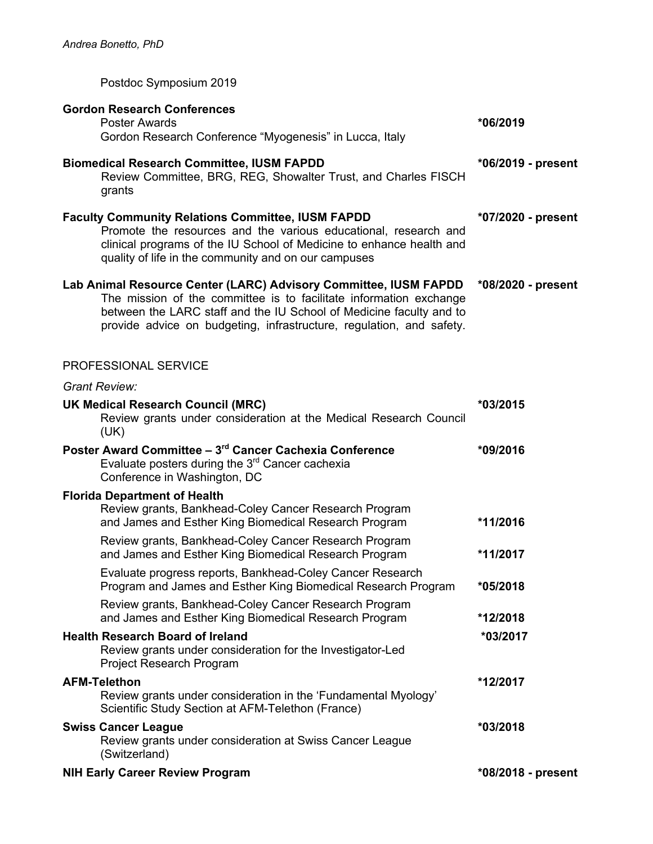Postdoc Symposium 2019

| <b>Gordon Research Conferences</b><br><b>Poster Awards</b><br>Gordon Research Conference "Myogenesis" in Lucca, Italy                                                                                                                                                                 | *06/2019           |
|---------------------------------------------------------------------------------------------------------------------------------------------------------------------------------------------------------------------------------------------------------------------------------------|--------------------|
| <b>Biomedical Research Committee, IUSM FAPDD</b><br>Review Committee, BRG, REG, Showalter Trust, and Charles FISCH<br>grants                                                                                                                                                          | *06/2019 - present |
| <b>Faculty Community Relations Committee, IUSM FAPDD</b><br>Promote the resources and the various educational, research and<br>clinical programs of the IU School of Medicine to enhance health and<br>quality of life in the community and on our campuses                           | *07/2020 - present |
| Lab Animal Resource Center (LARC) Advisory Committee, IUSM FAPDD<br>The mission of the committee is to facilitate information exchange<br>between the LARC staff and the IU School of Medicine faculty and to<br>provide advice on budgeting, infrastructure, regulation, and safety. | *08/2020 - present |
| PROFESSIONAL SERVICE                                                                                                                                                                                                                                                                  |                    |
| <b>Grant Review:</b>                                                                                                                                                                                                                                                                  |                    |
| <b>UK Medical Research Council (MRC)</b><br>Review grants under consideration at the Medical Research Council<br>(UK)                                                                                                                                                                 | *03/2015           |
| Poster Award Committee - 3 <sup>rd</sup> Cancer Cachexia Conference<br>Evaluate posters during the 3 <sup>rd</sup> Cancer cachexia<br>Conference in Washington, DC                                                                                                                    | *09/2016           |
| <b>Florida Department of Health</b><br>Review grants, Bankhead-Coley Cancer Research Program<br>and James and Esther King Biomedical Research Program                                                                                                                                 | *11/2016           |
| Review grants, Bankhead-Coley Cancer Research Program<br>and James and Esther King Biomedical Research Program                                                                                                                                                                        | *11/2017           |
| Evaluate progress reports, Bankhead-Coley Cancer Research<br>Program and James and Esther King Biomedical Research Program                                                                                                                                                            | *05/2018           |
| Review grants, Bankhead-Coley Cancer Research Program<br>and James and Esther King Biomedical Research Program                                                                                                                                                                        | *12/2018           |
| <b>Health Research Board of Ireland</b><br>Review grants under consideration for the Investigator-Led<br>Project Research Program                                                                                                                                                     | *03/2017           |
| <b>AFM-Telethon</b><br>Review grants under consideration in the 'Fundamental Myology'<br>Scientific Study Section at AFM-Telethon (France)                                                                                                                                            | *12/2017           |
| <b>Swiss Cancer League</b><br>Review grants under consideration at Swiss Cancer League<br>(Switzerland)                                                                                                                                                                               | *03/2018           |
| <b>NIH Early Career Review Program</b>                                                                                                                                                                                                                                                | *08/2018 - present |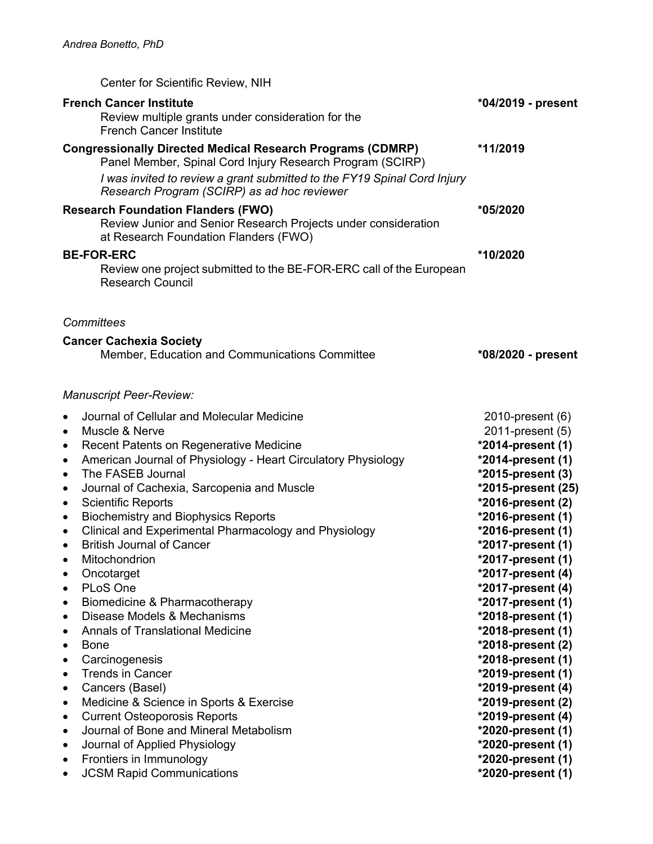| Center for Scientific Review, NIH                                                                                                                                                                                                                                                                                                                                                                                                                                                                                                                                                                                                                                                                                                                                                                                                                            |                                                                                                                                                                                                                                                                                                                                                                                                            |
|--------------------------------------------------------------------------------------------------------------------------------------------------------------------------------------------------------------------------------------------------------------------------------------------------------------------------------------------------------------------------------------------------------------------------------------------------------------------------------------------------------------------------------------------------------------------------------------------------------------------------------------------------------------------------------------------------------------------------------------------------------------------------------------------------------------------------------------------------------------|------------------------------------------------------------------------------------------------------------------------------------------------------------------------------------------------------------------------------------------------------------------------------------------------------------------------------------------------------------------------------------------------------------|
| <b>French Cancer Institute</b><br>Review multiple grants under consideration for the<br><b>French Cancer Institute</b>                                                                                                                                                                                                                                                                                                                                                                                                                                                                                                                                                                                                                                                                                                                                       | *04/2019 - present                                                                                                                                                                                                                                                                                                                                                                                         |
| <b>Congressionally Directed Medical Research Programs (CDMRP)</b><br>Panel Member, Spinal Cord Injury Research Program (SCIRP)<br>I was invited to review a grant submitted to the FY19 Spinal Cord Injury<br>Research Program (SCIRP) as ad hoc reviewer                                                                                                                                                                                                                                                                                                                                                                                                                                                                                                                                                                                                    | *11/2019                                                                                                                                                                                                                                                                                                                                                                                                   |
| <b>Research Foundation Flanders (FWO)</b><br>Review Junior and Senior Research Projects under consideration<br>at Research Foundation Flanders (FWO)                                                                                                                                                                                                                                                                                                                                                                                                                                                                                                                                                                                                                                                                                                         | *05/2020                                                                                                                                                                                                                                                                                                                                                                                                   |
| <b>BE-FOR-ERC</b><br>Review one project submitted to the BE-FOR-ERC call of the European<br><b>Research Council</b>                                                                                                                                                                                                                                                                                                                                                                                                                                                                                                                                                                                                                                                                                                                                          | *10/2020                                                                                                                                                                                                                                                                                                                                                                                                   |
| Committees                                                                                                                                                                                                                                                                                                                                                                                                                                                                                                                                                                                                                                                                                                                                                                                                                                                   |                                                                                                                                                                                                                                                                                                                                                                                                            |
| <b>Cancer Cachexia Society</b><br>Member, Education and Communications Committee                                                                                                                                                                                                                                                                                                                                                                                                                                                                                                                                                                                                                                                                                                                                                                             | *08/2020 - present                                                                                                                                                                                                                                                                                                                                                                                         |
| <b>Manuscript Peer-Review:</b>                                                                                                                                                                                                                                                                                                                                                                                                                                                                                                                                                                                                                                                                                                                                                                                                                               |                                                                                                                                                                                                                                                                                                                                                                                                            |
| Journal of Cellular and Molecular Medicine<br>$\bullet$<br>Muscle & Nerve<br>$\bullet$<br>Recent Patents on Regenerative Medicine<br>$\bullet$<br>American Journal of Physiology - Heart Circulatory Physiology<br>$\bullet$<br>The FASEB Journal<br>$\bullet$<br>Journal of Cachexia, Sarcopenia and Muscle<br>$\bullet$<br><b>Scientific Reports</b><br>$\bullet$<br><b>Biochemistry and Biophysics Reports</b><br>$\bullet$<br>Clinical and Experimental Pharmacology and Physiology<br>$\bullet$<br><b>British Journal of Cancer</b><br>$\bullet$<br>Mitochondrion<br>٠<br>Oncotarget<br>$\bullet$<br>PLoS One<br>$\bullet$<br>Biomedicine & Pharmacotherapy<br>٠<br>Disease Models & Mechanisms<br>$\bullet$<br><b>Annals of Translational Medicine</b><br><b>Bone</b><br>٠<br>Carcinogenesis<br>$\bullet$<br><b>Trends in Cancer</b><br>$\bullet$<br>٠ | 2010-present (6)<br>2011-present (5)<br>*2014-present (1)<br>*2014-present (1)<br>*2015-present (3)<br>*2015-present (25)<br>*2016-present (2)<br>*2016-present (1)<br>*2016-present (1)<br>*2017-present (1)<br>*2017-present (1)<br>*2017-present (4)<br>*2017-present (4)<br>*2017-present (1)<br>*2018-present (1)<br>*2018-present (1)<br>*2018-present (2)<br>*2018-present (1)<br>*2019-present (1) |
| Cancers (Basel)<br>Medicine & Science in Sports & Exercise<br>٠<br><b>Current Osteoporosis Reports</b><br>٠<br>Journal of Bone and Mineral Metabolism<br>$\bullet$<br>Journal of Applied Physiology<br>٠<br>Frontiers in Immunology<br>٠<br><b>JCSM Rapid Communications</b><br>٠                                                                                                                                                                                                                                                                                                                                                                                                                                                                                                                                                                            | *2019-present (4)<br>*2019-present (2)<br>*2019-present (4)<br>*2020-present (1)<br>*2020-present (1)<br>*2020-present (1)<br>*2020-present (1)                                                                                                                                                                                                                                                            |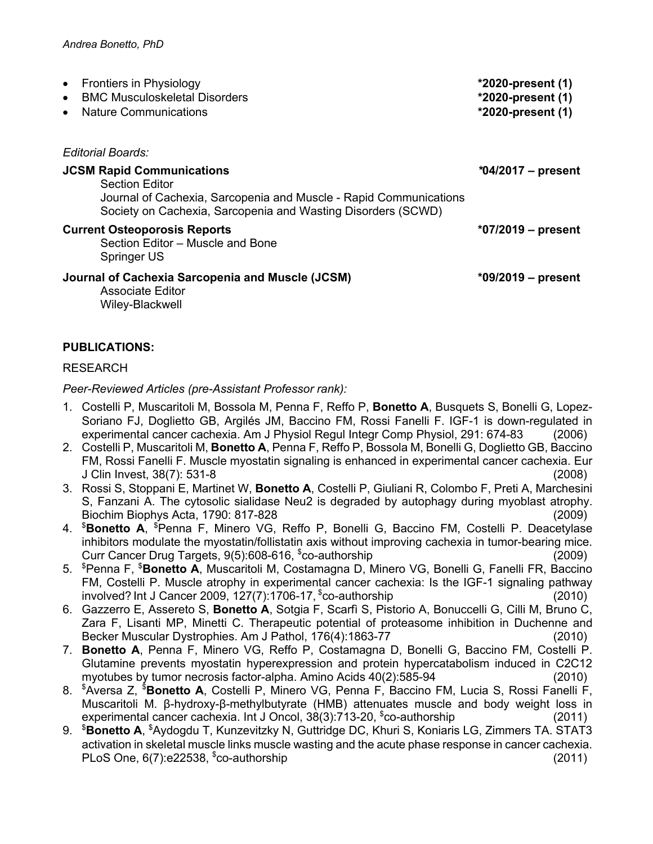| Frontiers in Physiology<br>$\bullet$<br><b>BMC Musculoskeletal Disorders</b><br>$\bullet$<br><b>Nature Communications</b>                                                                      | *2020-present (1)<br>*2020-present (1)<br>$*2020$ -present (1) |
|------------------------------------------------------------------------------------------------------------------------------------------------------------------------------------------------|----------------------------------------------------------------|
| Editorial Boards:                                                                                                                                                                              |                                                                |
| <b>JCSM Rapid Communications</b><br><b>Section Editor</b><br>Journal of Cachexia, Sarcopenia and Muscle - Rapid Communications<br>Society on Cachexia, Sarcopenia and Wasting Disorders (SCWD) | $*04/2017$ – present                                           |
| <b>Current Osteoporosis Reports</b><br>Section Editor - Muscle and Bone<br>Springer US                                                                                                         | $*07/2019$ – present                                           |
| Journal of Cachexia Sarcopenia and Muscle (JCSM)<br>Associate Editor<br>Wiley-Blackwell                                                                                                        | $*09/2019$ – present                                           |

## **PUBLICATIONS:**

#### RESEARCH

*Peer-Reviewed Articles (pre-Assistant Professor rank):*

- 1. Costelli P, Muscaritoli M, Bossola M, Penna F, Reffo P, **Bonetto A**, Busquets S, Bonelli G, Lopez-Soriano FJ, Doglietto GB, Argilés JM, Baccino FM, Rossi Fanelli F. IGF-1 is down-regulated in experimental cancer cachexia. Am J Physiol Regul Integr Comp Physiol, 291: 674-83 (2006)
- 2. Costelli P, Muscaritoli M, **Bonetto A**, Penna F, Reffo P, Bossola M, Bonelli G, Doglietto GB, Baccino FM, Rossi Fanelli F. Muscle myostatin signaling is enhanced in experimental cancer cachexia. Eur J Clin Invest, 38(7): 531-8 (2008)
- 3. Rossi S, Stoppani E, Martinet W, **Bonetto A**, Costelli P, Giuliani R, Colombo F, Preti A, Marchesini S, Fanzani A. The cytosolic sialidase Neu2 is degraded by autophagy during myoblast atrophy. Biochim Biophys Acta, 1790: 817-828 (2009)
- 4. \$ **Bonetto A**, \$ Penna F, Minero VG, Reffo P, Bonelli G, Baccino FM, Costelli P. Deacetylase inhibitors modulate the myostatin/follistatin axis without improving cachexia in tumor-bearing mice. Curr Cancer Drug Targets, 9(5):608-616, \$ co-authorship (2009)
- 5. \$ Penna F, \$ **Bonetto A**, Muscaritoli M, Costamagna D, Minero VG, Bonelli G, Fanelli FR, Baccino FM, Costelli P. Muscle atrophy in experimental cancer cachexia: Is the IGF-1 signaling pathway involved? Int J Cancer 2009, 127(7):1706-17, \$ co-authorship (2010)
- 6. Gazzerro E, Assereto S, **Bonetto A**, Sotgia F, Scarfì S, Pistorio A, Bonuccelli G, Cilli M, Bruno C, Zara F, Lisanti MP, Minetti C. Therapeutic potential of proteasome inhibition in Duchenne and Becker Muscular Dystrophies. Am J Pathol, 176(4):1863-77 (2010)
- 7. **Bonetto A**, Penna F, Minero VG, Reffo P, Costamagna D, Bonelli G, Baccino FM, Costelli P. Glutamine prevents myostatin hyperexpression and protein hypercatabolism induced in C2C12 myotubes by tumor necrosis factor-alpha. Amino Acids 40(2):585-94 (2010)
- 8. \$ Aversa Z, \$ **Bonetto A**, Costelli P, Minero VG, Penna F, Baccino FM, Lucia S, Rossi Fanelli F, Muscaritoli M. β-hydroxy-β-methylbutyrate (HMB) attenuates muscle and body weight loss in experimental cancer cachexia. Int J Oncol, 38(3):713-20, \$ co-authorship (2011)
- 9. <sup>\$</sup>Bonetto A, <sup>\$</sup>Aydogdu T, Kunzevitzky N, Guttridge DC, Khuri S, Koniaris LG, Zimmers TA. STAT3 activation in skeletal muscle links muscle wasting and the acute phase response in cancer cachexia. PLoS One,  $6(7)$ :e22538,  $$co-authorship$  (2011)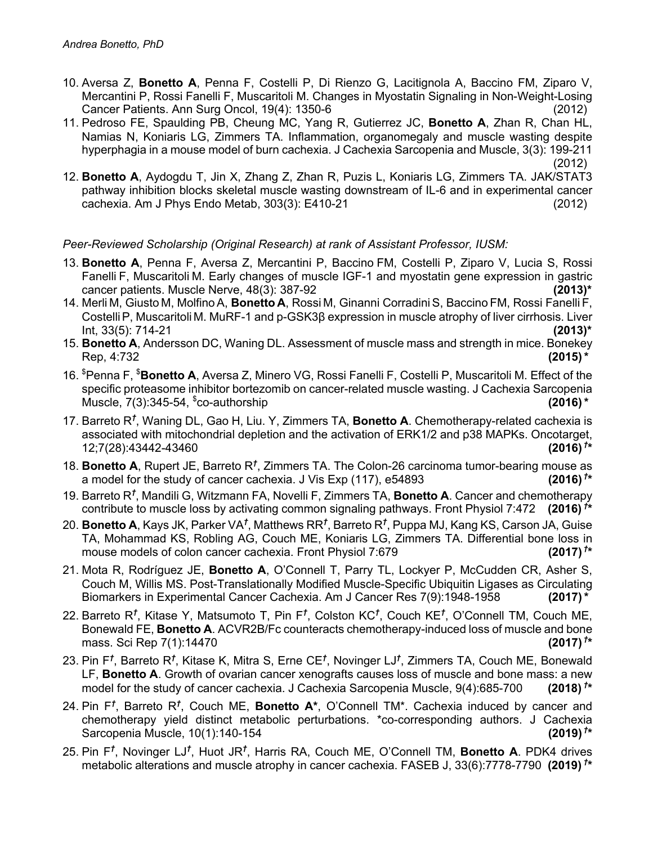- 10. Aversa Z, **Bonetto A**, Penna F, Costelli P, Di Rienzo G, Lacitignola A, Baccino FM, Ziparo V, Mercantini P, Rossi Fanelli F, Muscaritoli M. Changes in Myostatin Signaling in Non-Weight-Losing Cancer Patients. Ann Surg Oncol, 19(4): 1350-6 (2012)
- 11. Pedroso FE, Spaulding PB, Cheung MC, Yang R, Gutierrez JC, **Bonetto A**, Zhan R, Chan HL, Namias N, Koniaris LG, Zimmers TA. Inflammation, organomegaly and muscle wasting despite hyperphagia in a mouse model of burn cachexia. J Cachexia Sarcopenia and Muscle, 3(3): 199-211 (2012)
- 12. **Bonetto A**, Aydogdu T, Jin X, Zhang Z, Zhan R, Puzis L, Koniaris LG, Zimmers TA. JAK/STAT3 pathway inhibition blocks skeletal muscle wasting downstream of IL-6 and in experimental cancer cachexia. Am J Phys Endo Metab, 303(3): E410-21 (2012)

## *Peer-Reviewed Scholarship (Original Research) at rank of Assistant Professor, IUSM:*

- 13. **Bonetto A**, Penna F, Aversa Z, Mercantini P, Baccino FM, Costelli P, Ziparo V, Lucia S, Rossi Fanelli F, Muscaritoli M. Early changes of muscle IGF-1 and myostatin gene expression in gastric cancer patients. Muscle Nerve, 48(3): 387-92 **(2013)\***
- 14. Merli M, Giusto M, MolfinoA, **Bonetto A**, Rossi M, Ginanni CorradiniS, Baccino FM, Rossi Fanelli F, CostelliP, Muscaritoli M. MuRF-1 and p-GSK3β expression in muscle atrophy of liver cirrhosis. Liver Int, 33(5): 714-21 **(2013)\***
- 15. **Bonetto A**, Andersson DC, Waning DL. Assessment of muscle mass and strength in mice. Bonekey Rep, 4:732 **(2015)\***
- 16. \$ Penna F, \$ **Bonetto A**, Aversa Z, Minero VG, Rossi Fanelli F, Costelli P, Muscaritoli M. Effect of the specific proteasome inhibitor bortezomib on cancer-related muscle wasting. J Cachexia Sarcopenia Muscle, 7(3):345-54, \$ co-authorship **(2016)\***
- 17. Barreto R*†* , Waning DL, Gao H, Liu. Y, Zimmers TA, **Bonetto A**. Chemotherapy-related cachexia is associated with mitochondrial depletion and the activation of ERK1/2 and p38 MAPKs. Oncotarget, 12;7(28):43442-43460 **(2016)** *†* **\***
- 18. **Bonetto A**, Rupert JE, Barreto R<sup>t</sup>, Zimmers TA. The Colon-26 carcinoma tumor-bearing mouse as a model for the study of cancer cachexia. J Vis Exp (117), e54893 **\***
- 19. Barreto R*†* , Mandili G, Witzmann FA, Novelli F, Zimmers TA, **Bonetto A**. Cancer and chemotherapy contribute to muscle loss by activating common signaling pathways. Front Physiol 7:472 **(2016)** *†* **\***
- 20. **Bonetto A**, Kays JK, Parker VA*†* , Matthews RR*†* , Barreto R*†* , Puppa MJ, Kang KS, Carson JA, Guise TA, Mohammad KS, Robling AG, Couch ME, Koniaris LG, Zimmers TA. Differential bone loss in mouse models of colon cancer cachexia. Front Physiol 7:679 **(2017)** *†*  $(2017)^{t*}$
- 21. Mota R, Rodríguez JE, **Bonetto A**, O'Connell T, Parry TL, Lockyer P, McCudden CR, Asher S, Couch M, Willis MS. Post-Translationally Modified Muscle-Specific Ubiquitin Ligases as Circulating Biomarkers in Experimental Cancer Cachexia. Am J Cancer Res 7(9):1948-1958 **(2017)\***
- 22. Barreto R*†* , Kitase Y, Matsumoto T, Pin F*†* , Colston KC*†* , Couch KE*†* , O'Connell TM, Couch ME, Bonewald FE, **Bonetto A**. ACVR2B/Fc counteracts chemotherapy-induced loss of muscle and bone mass. Sci Rep 7(1):14470**(2017)** *†*  $(2017)^{t*}$
- 23. Pin F*†* , Barreto R*†* , Kitase K, Mitra S, Erne CE*†* , Novinger LJ*†* , Zimmers TA, Couch ME, Bonewald LF, **Bonetto A**. Growth of ovarian cancer xenografts causes loss of muscle and bone mass: a new model for the study of cancer cachexia. J Cachexia Sarcopenia Muscle, 9(4):685-700 **\***
- 24. Pin F*†* , Barreto R*†* , Couch ME, **Bonetto A\***, O'Connell TM\*. Cachexia induced by cancer and chemotherapy yield distinct metabolic perturbations. \*co-corresponding authors. J Cachexia Sarcopenia Muscle, 10(1):140-154 **(2019)** *†*  $(2019)$ <sup>†\*</sup>
- 25. Pin F*†* , Novinger LJ*†* , Huot JR*†* , Harris RA, Couch ME, O'Connell TM, **Bonetto A**. PDK4 drives metabolic alterations and muscle atrophy in cancer cachexia. FASEB J, 33(6):7778-7790**(2019)** *†* **\***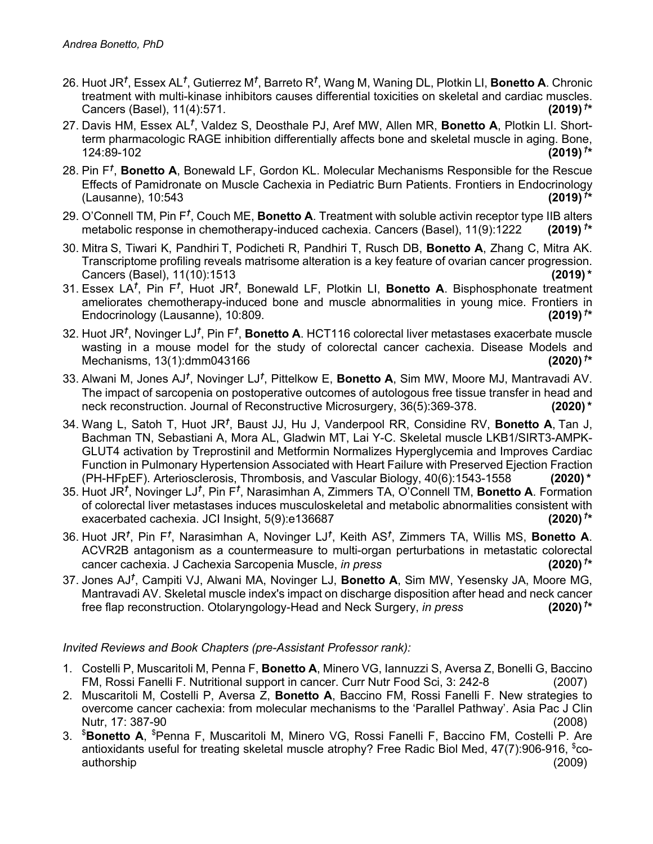- 26. Huot JR*†* , Essex AL*†* , Gutierrez M*†* , Barreto R*†* , Wang M, Waning DL, Plotkin LI, **Bonetto A**. Chronic treatment with multi-kinase inhibitors causes differential toxicities on skeletal and cardiac muscles. Cancers (Basel), 11(4):571. **(2019)** *†*  $(2019)^{t*}$
- 27. Davis HM, Essex AL*†* , Valdez S, Deosthale PJ, Aref MW, Allen MR, **Bonetto A**, Plotkin LI. Shortterm pharmacologic RAGE inhibition differentially affects bone and skeletal muscle in aging. Bone, 124:89-102 **(2019)** *†* **\***
- 28. Pin F*†* , **Bonetto A**, Bonewald LF, Gordon KL. Molecular Mechanisms Responsible for the Rescue Effects of Pamidronate on Muscle Cachexia in Pediatric Burn Patients. Frontiers in Endocrinology (Lausanne), 10:543 **(2019)** *†* **\***
- 29. O'Connell TM, Pin F<sup>†</sup>, Couch ME, Bonetto A. Treatment with soluble activin receptor type IIB alters metabolic response in chemotherapy-induced cachexia. Cancers (Basel), 11(9):1222 **(2019)** *†* **\***
- 30. Mitra S, Tiwari K, Pandhiri T, Podicheti R, Pandhiri T, Rusch DB, **Bonetto A**, Zhang C, Mitra AK. Transcriptome profiling reveals matrisome alteration is a key feature of ovarian cancer progression. Cancers (Basel), 11(10):1513 **(2019)\***
- 31. Essex LA<sup>†</sup>, Pin F<sup>†</sup>, Huot JR<sup>†</sup>, Bonewald LF, Plotkin LI, Bonetto A. Bisphosphonate treatment ameliorates chemotherapy-induced bone and muscle abnormalities in young mice. Frontiers in Endocrinology (Lausanne), 10:809.**(2019)** *†*  $(2019)$ <sup>†\*</sup>
- 32. Huot JR*†* , Novinger LJ*†* , Pin F*†* , **Bonetto A**. HCT116 colorectal liver metastases exacerbate muscle wasting in a mouse model for the study of colorectal cancer cachexia. Disease Models and Mechanisms, 13(1):dmm043166**(2020)** *†*  $(2020)$ <sup>†\*</sup>
- 33. Alwani M, Jones AJ*†* , Novinger LJ*†* , Pittelkow E, **Bonetto A**, Sim MW, Moore MJ, Mantravadi AV. The impact of sarcopenia on postoperative outcomes of autologous free tissue transfer in head and neck reconstruction. Journal of Reconstructive Microsurgery, 36(5):369-378.**(2020)\***
- 34. Wang L, Satoh T, Huot JR*†* , Baust JJ, Hu J, Vanderpool RR, Considine RV, **Bonetto A**, Tan J, Bachman TN, Sebastiani A, Mora AL, Gladwin MT, Lai Y-C. Skeletal muscle LKB1/SIRT3-AMPK-GLUT4 activation by Treprostinil and Metformin Normalizes Hyperglycemia and Improves Cardiac Function in Pulmonary Hypertension Associated with Heart Failure with Preserved Ejection Fraction (PH-HFpEF). Arteriosclerosis, Thrombosis, and Vascular Biology, 40(6):1543-1558 **(2020)\***
- 35. Huot JR*†* , Novinger LJ*†* , Pin F*†* , Narasimhan A, Zimmers TA, O'Connell TM, **Bonetto A**. Formation of colorectal liver metastases induces musculoskeletal and metabolic abnormalities consistent with exacerbated cachexia. JCI Insight, 5(9):e136687**(2020)** *†* **\***
- 36. Huot JR*†* , Pin F*†* , Narasimhan A, Novinger LJ*†* , Keith AS*†* , Zimmers TA, Willis MS, **Bonetto A**. ACVR2B antagonism as a countermeasure to multi-organ perturbations in metastatic colorectal cancer cachexia. J Cachexia Sarcopenia Muscle, *in press* **(2020)** *†* **\***
- 37. Jones AJ*†* , Campiti VJ, Alwani MA, Novinger LJ, **Bonetto A**, Sim MW, Yesensky JA, Moore MG, Mantravadi AV. Skeletal muscle index's impact on discharge disposition after head and neck cancer free flap reconstruction. Otolaryngology-Head and Neck Surgery, *in press* **(2020)** *†*  $(2020)^{t*}$

### *Invited Reviews and Book Chapters (pre-Assistant Professor rank):*

- 1. Costelli P, Muscaritoli M, Penna F, **Bonetto A**, Minero VG, Iannuzzi S, Aversa Z, Bonelli G, Baccino FM, Rossi Fanelli F. Nutritional support in cancer. Curr Nutr Food Sci, 3: 242-8 (2007)
- 2. Muscaritoli M, Costelli P, Aversa Z, **Bonetto A**, Baccino FM, Rossi Fanelli F. New strategies to overcome cancer cachexia: from molecular mechanisms to the 'Parallel Pathway'. Asia Pac J Clin Nutr, 17: 387-90 (2008)
- 3. \$ **Bonetto A**, \$ Penna F, Muscaritoli M, Minero VG, Rossi Fanelli F, Baccino FM, Costelli P. Are antioxidants useful for treating skeletal muscle atrophy? Free Radic Biol Med, 47(7):906-916, \$coauthorship (2009)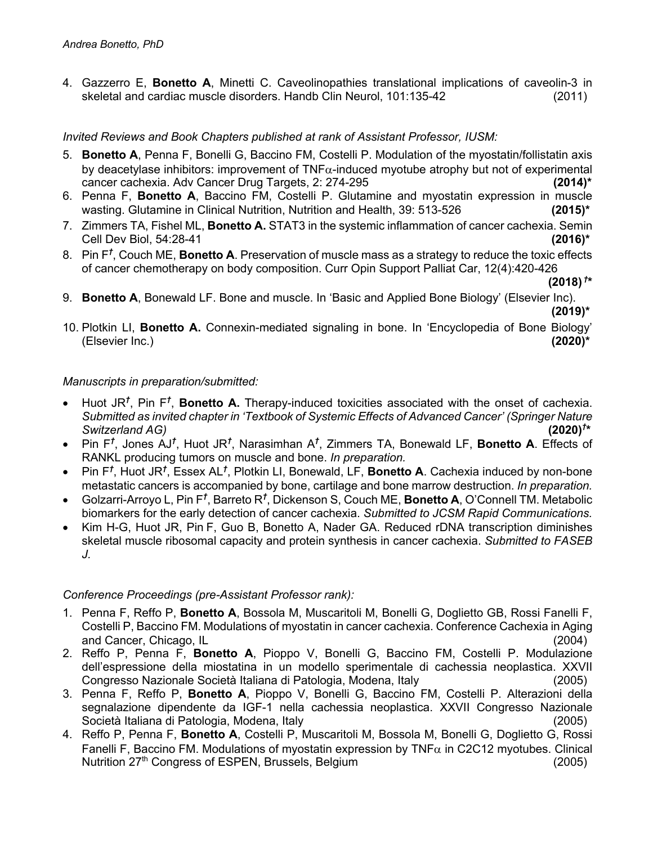4. Gazzerro E, **Bonetto A**, Minetti C. Caveolinopathies translational implications of caveolin-3 in skeletal and cardiac muscle disorders. Handb Clin Neurol, 101:135-42 (2011)

## *Invited Reviews and Book Chapters published at rank of Assistant Professor, IUSM:*

- 5. **Bonetto A**, Penna F, Bonelli G, Baccino FM, Costelli P. Modulation of the myostatin/follistatin axis by deacetylase inhibitors: improvement of  $TNF\alpha$ -induced myotube atrophy but not of experimental cancer cachexia. Adv Cancer Drug Targets, 2: 274-295 **(2014)\***
- 6. Penna F, **Bonetto A**, Baccino FM, Costelli P. Glutamine and myostatin expression in muscle wasting. Glutamine in Clinical Nutrition, Nutrition and Health, 39: 513-526 **(2015)\***
- 7. Zimmers TA, Fishel ML, **Bonetto A.** STAT3 in the systemic inflammation of cancer cachexia. Semin Cell Dev Biol, 54:28-41 **(2016)\***
- 8. Pin F*†* , Couch ME, **Bonetto A**. Preservation of muscle mass as a strategy to reduce the toxic effects of cancer chemotherapy on body composition. Curr Opin Support Palliat Car, 12(4):420-426

**(2018)** *†* **\***

- 9. **Bonetto A**, Bonewald LF. Bone and muscle. In 'Basic and Applied Bone Biology' (Elsevier Inc). **(2019)\***
- 10. Plotkin LI, **Bonetto A.** Connexin-mediated signaling in bone. In 'Encyclopedia of Bone Biology' (Elsevier Inc.) **(2020)\***

### *Manuscripts in preparation/submitted:*

- Huot JR<sup>†</sup>, Pin F<sup>†</sup>, **Bonetto A**. Therapy-induced toxicities associated with the onset of cachexia. *Submitted as invited chapter in 'Textbook of Systemic Effects of Advanced Cancer' (Springer Nature*   $Switzerland AG$ <sup> $)$ </sup>  $(2020)^{t*}$
- Pin F*†* , Jones AJ*†* , Huot JR*†* , Narasimhan A*†* , Zimmers TA, Bonewald LF, **Bonetto A**. Effects of RANKL producing tumors on muscle and bone. *In preparation.*
- Pin F<sup>†</sup>, Huot JR<sup>†</sup>, Essex AL<sup>†</sup>, Plotkin LI, Bonewald, LF, **Bonetto A**. Cachexia induced by non-bone metastatic cancers is accompanied by bone, cartilage and bone marrow destruction. *In preparation.*
- Golzarri-Arroyo L, Pin F<sup>†</sup>, Barreto R<sup>†</sup>, Dickenson S, Couch ME, **Bonetto A**, O'Connell TM. Metabolic biomarkers for the early detection of cancer cachexia. *Submitted to JCSM Rapid Communications.*
- Kim H-G, Huot JR, Pin F, Guo B, Bonetto A, Nader GA. Reduced rDNA transcription diminishes skeletal muscle ribosomal capacity and protein synthesis in cancer cachexia. *Submitted to FASEB J.*

### *Conference Proceedings (pre-Assistant Professor rank):*

- 1. Penna F, Reffo P, **Bonetto A**, Bossola M, Muscaritoli M, Bonelli G, Doglietto GB, Rossi Fanelli F, Costelli P, Baccino FM. Modulations of myostatin in cancer cachexia. Conference Cachexia in Aging and Cancer, Chicago, IL (2004)
- 2. Reffo P, Penna F, **Bonetto A**, Pioppo V, Bonelli G, Baccino FM, Costelli P. Modulazione dell'espressione della miostatina in un modello sperimentale di cachessia neoplastica. XXVII Congresso Nazionale Società Italiana di Patologia, Modena, Italy (2005)
- 3. Penna F, Reffo P, **Bonetto A**, Pioppo V, Bonelli G, Baccino FM, Costelli P. Alterazioni della segnalazione dipendente da IGF-1 nella cachessia neoplastica. XXVII Congresso Nazionale Società Italiana di Patologia, Modena, Italy (2005)
- 4. Reffo P, Penna F, **Bonetto A**, Costelli P, Muscaritoli M, Bossola M, Bonelli G, Doglietto G, Rossi Fanelli F, Baccino FM. Modulations of myostatin expression by TNF $\alpha$  in C2C12 myotubes. Clinical Nutrition 27<sup>th</sup> Congress of ESPEN, Brussels, Belgium (2005)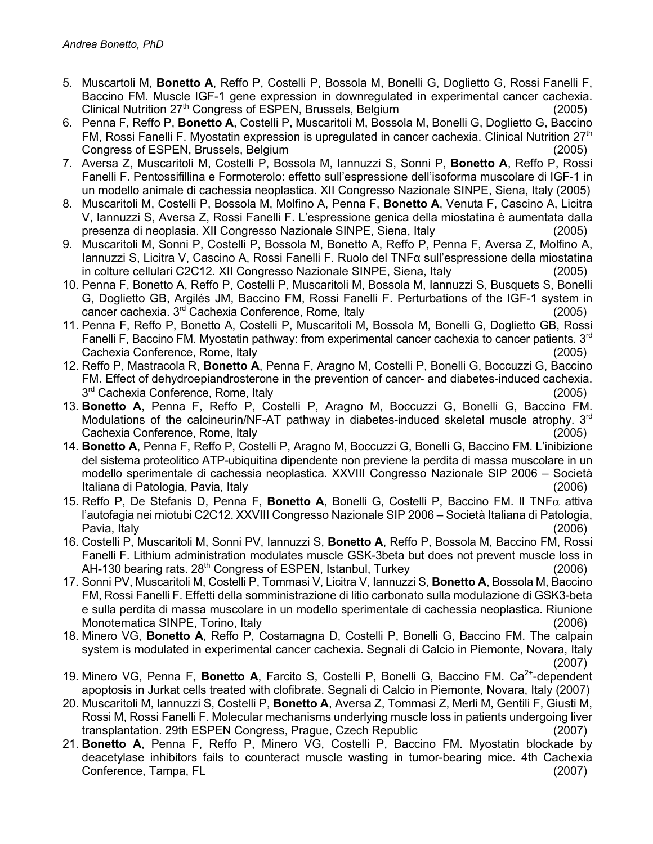- 5. Muscartoli M, **Bonetto A**, Reffo P, Costelli P, Bossola M, Bonelli G, Doglietto G, Rossi Fanelli F, Baccino FM. Muscle IGF-1 gene expression in downregulated in experimental cancer cachexia. Clinical Nutrition 27th Congress of ESPEN, Brussels, Belgium (2005)
- 6. Penna F, Reffo P, **Bonetto A**, Costelli P, Muscaritoli M, Bossola M, Bonelli G, Doglietto G, Baccino FM, Rossi Fanelli F. Myostatin expression is upregulated in cancer cachexia. Clinical Nutrition 27<sup>th</sup> Congress of ESPEN, Brussels, Belgium (2005)
- 7. Aversa Z, Muscaritoli M, Costelli P, Bossola M, Iannuzzi S, Sonni P, **Bonetto A**, Reffo P, Rossi Fanelli F. Pentossifillina e Formoterolo: effetto sull'espressione dell'isoforma muscolare di IGF-1 in un modello animale di cachessia neoplastica. XII Congresso Nazionale SINPE, Siena, Italy (2005)
- 8. Muscaritoli M, Costelli P, Bossola M, Molfino A, Penna F, **Bonetto A**, Venuta F, Cascino A, Licitra V, Iannuzzi S, Aversa Z, Rossi Fanelli F. L'espressione genica della miostatina è aumentata dalla presenza di neoplasia. XII Congresso Nazionale SINPE, Siena, Italy (2005)
- 9. Muscaritoli M, Sonni P, Costelli P, Bossola M, Bonetto A, Reffo P, Penna F, Aversa Z, Molfino A, Iannuzzi S, Licitra V, Cascino A, Rossi Fanelli F. Ruolo del TNFα sull'espressione della miostatina in colture cellulari C2C12. XII Congresso Nazionale SINPE, Siena, Italy (2005)
- 10. Penna F, Bonetto A, Reffo P, Costelli P, Muscaritoli M, Bossola M, Iannuzzi S, Busquets S, Bonelli G, Doglietto GB, Argilés JM, Baccino FM, Rossi Fanelli F. Perturbations of the IGF-1 system in cancer cachexia. 3rd Cachexia Conference, Rome, Italy (2005)
- 11. Penna F, Reffo P, Bonetto A, Costelli P, Muscaritoli M, Bossola M, Bonelli G, Doglietto GB, Rossi Fanelli F, Baccino FM. Myostatin pathway: from experimental cancer cachexia to cancer patients.  $3<sup>rd</sup>$ Cachexia Conference, Rome, Italy (2005)
- 12. Reffo P, Mastracola R, **Bonetto A**, Penna F, Aragno M, Costelli P, Bonelli G, Boccuzzi G, Baccino FM. Effect of dehydroepiandrosterone in the prevention of cancer- and diabetes-induced cachexia.  $3<sup>rd</sup>$  Cachexia Conference, Rome, Italy (2005)
- 13. **Bonetto A**, Penna F, Reffo P, Costelli P, Aragno M, Boccuzzi G, Bonelli G, Baccino FM. Modulations of the calcineurin/NF-AT pathway in diabetes-induced skeletal muscle atrophy. 3<sup>rd</sup> Cachexia Conference, Rome, Italy (2005)
- 14. **Bonetto A**, Penna F, Reffo P, Costelli P, Aragno M, Boccuzzi G, Bonelli G, Baccino FM. L'inibizione del sistema proteolitico ATP-ubiquitina dipendente non previene la perdita di massa muscolare in un modello sperimentale di cachessia neoplastica. XXVIII Congresso Nazionale SIP 2006 – Società Italiana di Patologia, Pavia, Italy (2006)
- 15. Reffo P, De Stefanis D, Penna F, **Bonetto A**, Bonelli G, Costelli P, Baccino FM. Il TNFa attiva l'autofagia nei miotubi C2C12. XXVIII Congresso Nazionale SIP 2006 – Società Italiana di Patologia, Pavia, Italy (2006)
- 16. Costelli P, Muscaritoli M, Sonni PV, Iannuzzi S, **Bonetto A**, Reffo P, Bossola M, Baccino FM, Rossi Fanelli F. Lithium administration modulates muscle GSK-3beta but does not prevent muscle loss in AH-130 bearing rats. 28<sup>th</sup> Congress of ESPEN, Istanbul, Turkey (2006)
- 17. Sonni PV, Muscaritoli M, Costelli P, Tommasi V, Licitra V, Iannuzzi S, **Bonetto A**, Bossola M, Baccino FM, Rossi Fanelli F. Effetti della somministrazione di litio carbonato sulla modulazione di GSK3-beta e sulla perdita di massa muscolare in un modello sperimentale di cachessia neoplastica. Riunione Monotematica SINPE, Torino, Italy (2006)
- 18. Minero VG, **Bonetto A**, Reffo P, Costamagna D, Costelli P, Bonelli G, Baccino FM. The calpain system is modulated in experimental cancer cachexia. Segnali di Calcio in Piemonte, Novara, Italy (2007)
- 19. Minero VG, Penna F, **Bonetto A**, Farcito S, Costelli P, Bonelli G, Baccino FM. Ca<sup>2+</sup>-dependent apoptosis in Jurkat cells treated with clofibrate. Segnali di Calcio in Piemonte, Novara, Italy (2007)
- 20. Muscaritoli M, Iannuzzi S, Costelli P, **Bonetto A**, Aversa Z, Tommasi Z, Merli M, Gentili F, Giusti M, Rossi M, Rossi Fanelli F. Molecular mechanisms underlying muscle loss in patients undergoing liver transplantation. 29th ESPEN Congress, Prague, Czech Republic (2007)
- 21. **Bonetto A**, Penna F, Reffo P, Minero VG, Costelli P, Baccino FM. Myostatin blockade by deacetylase inhibitors fails to counteract muscle wasting in tumor-bearing mice. 4th Cachexia Conference, Tampa, FL (2007)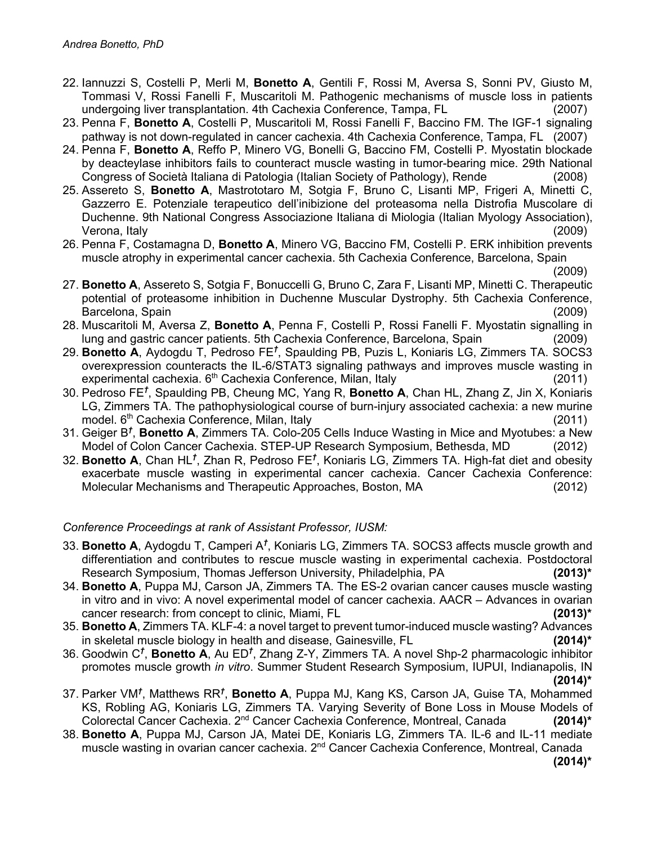- 22. Iannuzzi S, Costelli P, Merli M, **Bonetto A**, Gentili F, Rossi M, Aversa S, Sonni PV, Giusto M, Tommasi V, Rossi Fanelli F, Muscaritoli M. Pathogenic mechanisms of muscle loss in patients undergoing liver transplantation. 4th Cachexia Conference, Tampa, FL (2007)
- 23. Penna F, **Bonetto A**, Costelli P, Muscaritoli M, Rossi Fanelli F, Baccino FM. The IGF-1 signaling pathway is not down-regulated in cancer cachexia. 4th Cachexia Conference, Tampa, FL (2007)
- 24. Penna F, **Bonetto A**, Reffo P, Minero VG, Bonelli G, Baccino FM, Costelli P. Myostatin blockade by deacteylase inhibitors fails to counteract muscle wasting in tumor-bearing mice. 29th National Congress of Società Italiana di Patologia (Italian Society of Pathology), Rende (2008)
- 25. Assereto S, **Bonetto A**, Mastrototaro M, Sotgia F, Bruno C, Lisanti MP, Frigeri A, Minetti C, Gazzerro E. Potenziale terapeutico dell'inibizione del proteasoma nella Distrofia Muscolare di Duchenne. 9th National Congress Associazione Italiana di Miologia (Italian Myology Association), Verona, Italy (2009)
- 26. Penna F, Costamagna D, **Bonetto A**, Minero VG, Baccino FM, Costelli P. ERK inhibition prevents muscle atrophy in experimental cancer cachexia. 5th Cachexia Conference, Barcelona, Spain
- (2009) 27. **Bonetto A**, Assereto S, Sotgia F, Bonuccelli G, Bruno C, Zara F, Lisanti MP, Minetti C. Therapeutic potential of proteasome inhibition in Duchenne Muscular Dystrophy. 5th Cachexia Conference, Barcelona, Spain (2009)
- 28. Muscaritoli M, Aversa Z, **Bonetto A**, Penna F, Costelli P, Rossi Fanelli F. Myostatin signalling in lung and gastric cancer patients. 5th Cachexia Conference, Barcelona, Spain (2009)
- 29. **Bonetto A**, Aydogdu T, Pedroso FE*†* , Spaulding PB, Puzis L, Koniaris LG, Zimmers TA. SOCS3 overexpression counteracts the IL-6/STAT3 signaling pathways and improves muscle wasting in experimental cachexia. 6th Cachexia Conference, Milan, Italy (2011)
- 30. Pedroso FE*†* , Spaulding PB, Cheung MC, Yang R, **Bonetto A**, Chan HL, Zhang Z, Jin X, Koniaris LG, Zimmers TA. The pathophysiological course of burn-injury associated cachexia: a new murine model. 6<sup>th</sup> Cachexia Conference, Milan, Italy (2011)
- 31. Geiger B*†* , **Bonetto A**, Zimmers TA. Colo-205 Cells Induce Wasting in Mice and Myotubes: a New Model of Colon Cancer Cachexia. STEP-UP Research Symposium, Bethesda, MD (2012)
- 32. **Bonetto A**, Chan HL*†* , Zhan R, Pedroso FE*†* , Koniaris LG, Zimmers TA. High-fat diet and obesity exacerbate muscle wasting in experimental cancer cachexia. Cancer Cachexia Conference: Molecular Mechanisms and Therapeutic Approaches, Boston, MA (2012)

## *Conference Proceedings at rank of Assistant Professor, IUSM:*

- 33. **Bonetto A**, Aydogdu T, Camperi A*†* , Koniaris LG, Zimmers TA. SOCS3 affects muscle growth and differentiation and contributes to rescue muscle wasting in experimental cachexia. Postdoctoral Research Symposium, Thomas Jefferson University, Philadelphia, PA **(2013)\***
- 34. **Bonetto A**, Puppa MJ, Carson JA, Zimmers TA. The ES-2 ovarian cancer causes muscle wasting in vitro and in vivo: A novel experimental model of cancer cachexia. AACR – Advances in ovarian cancer research: from concept to clinic, Miami, FL **(2013)\***
- 35. **Bonetto A**, Zimmers TA. KLF-4: a novel target to prevent tumor-induced muscle wasting? Advances in skeletal muscle biology in health and disease, Gainesville, FL **(2014)\***
- 36. Goodwin C*†* , **Bonetto A**, Au ED*†* , Zhang Z-Y, Zimmers TA. A novel Shp-2 pharmacologic inhibitor promotes muscle growth *in vitro*. Summer Student Research Symposium, IUPUI, Indianapolis, IN **(2014)\***
- 37. Parker VM*†* , Matthews RR*†* , **Bonetto A**, Puppa MJ, Kang KS, Carson JA, Guise TA, Mohammed KS, Robling AG, Koniaris LG, Zimmers TA. Varying Severity of Bone Loss in Mouse Models of Colorectal Cancer Cachexia. 2nd Cancer Cachexia Conference, Montreal, Canada **(2014)\***
- 38. **Bonetto A**, Puppa MJ, Carson JA, Matei DE, Koniaris LG, Zimmers TA. IL-6 and IL-11 mediate muscle wasting in ovarian cancer cachexia. 2nd Cancer Cachexia Conference, Montreal, Canada

**(2014)\***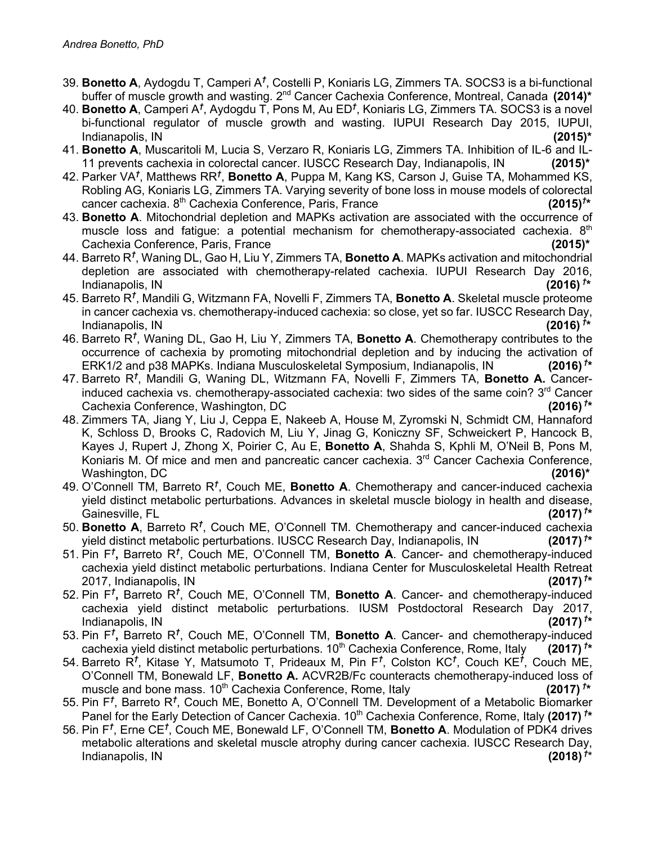- 39. **Bonetto A**, Aydogdu T, Camperi A<sup>†</sup>, Costelli P, Koniaris LG, Zimmers TA. SOCS3 is a bi-functional buffer of muscle growth and wasting. 2<sup>nd</sup> Cancer Cachexia Conference, Montreal, Canada (2014)<sup>\*</sup>
- 40. **Bonetto A**, Camperi A*†* , Aydogdu T, Pons M, Au ED*†* , Koniaris LG, Zimmers TA. SOCS3 is a novel bi-functional regulator of muscle growth and wasting. IUPUI Research Day 2015, IUPUI, Indianapolis, IN **(2015)\***
- 41. **Bonetto A**, Muscaritoli M, Lucia S, Verzaro R, Koniaris LG, Zimmers TA. Inhibition of IL-6 and IL-11 prevents cachexia in colorectal cancer. IUSCC Research Day, Indianapolis, IN **(2015)\***
- 42. Parker VA*†* , Matthews RR*†* , **Bonetto A**, Puppa M, Kang KS, Carson J, Guise TA, Mohammed KS, Robling AG, Koniaris LG, Zimmers TA. Varying severity of bone loss in mouse models of colorectal cancer cachexia. 8th Cachexia Conference, Paris, France **(2015)***†*  $(2015)^{t*}$
- 43. **Bonetto A**. Mitochondrial depletion and MAPKs activation are associated with the occurrence of muscle loss and fatigue: a potential mechanism for chemotherapy-associated cachexia. 8<sup>th</sup> Cachexia Conference, Paris, France **(2015)\***
- 44. Barreto R*†* , Waning DL, Gao H, Liu Y, Zimmers TA, **Bonetto A**. MAPKs activation and mitochondrial depletion are associated with chemotherapy-related cachexia. IUPUI Research Day 2016, Indianapolis, IN **(2016)** *†*  $(2016)$ <sup>t\*</sup>
- 45. Barreto R*†* , Mandili G, Witzmann FA, Novelli F, Zimmers TA, **Bonetto A**. Skeletal muscle proteome in cancer cachexia vs. chemotherapy-induced cachexia: so close, yet so far. IUSCC Research Day, Indianapolis, IN **(2016)** *†* **\***
- 46. Barreto R*†* , Waning DL, Gao H, Liu Y, Zimmers TA, **Bonetto A**. Chemotherapy contributes to the occurrence of cachexia by promoting mitochondrial depletion and by inducing the activation of ERK1/2 and p38 MAPKs. Indiana Musculoskeletal Symposium, Indianapolis, IN **(2016)** *†*  $(2016)^{T*}$
- 47. Barreto R*†* , Mandili G, Waning DL, Witzmann FA, Novelli F, Zimmers TA, **Bonetto A.** Cancerinduced cachexia vs. chemotherapy-associated cachexia: two sides of the same coin? 3<sup>rd</sup> Cancer Cachexia Conference, Washington, DC **(2016)** *†*  $(2016)^{t*}$
- 48. Zimmers TA, Jiang Y, Liu J, Ceppa E, Nakeeb A, House M, Zyromski N, Schmidt CM, Hannaford K, Schloss D, Brooks C, Radovich M, Liu Y, Jinag G, Koniczny SF, Schweickert P, Hancock B, Kayes J, Rupert J, Zhong X, Poirier C, Au E, **Bonetto A**, Shahda S, Kphli M, O'Neil B, Pons M, Koniaris M. Of mice and men and pancreatic cancer cachexia. 3<sup>rd</sup> Cancer Cachexia Conference, Washington, DC **(2016)\***
- 49. O'Connell TM, Barreto R<sup>t</sup>, Couch ME, Bonetto A. Chemotherapy and cancer-induced cachexia yield distinct metabolic perturbations. Advances in skeletal muscle biology in health and disease, Gainesville, FL **(2017)** *†*  $(2017)^{t*}$
- 50. **Bonetto A**, Barreto R*†* , Couch ME, O'Connell TM. Chemotherapy and cancer-induced cachexia yield distinct metabolic perturbations. IUSCC Research Day, Indianapolis, IN **(2017)** *†*  $(2017)$ <sup> $\uparrow$ \*</sup>
- 51. Pin F*†* **,** Barreto R*†* , Couch ME, O'Connell TM, **Bonetto A**. Cancer- and chemotherapy-induced cachexia yield distinct metabolic perturbations. Indiana Center for Musculoskeletal Health Retreat 2017, Indianapolis, IN **(2017)** *†*  $(2017)^{t*}$
- 52. Pin F*†* **,** Barreto R*†* , Couch ME, O'Connell TM, **Bonetto A**. Cancer- and chemotherapy-induced cachexia yield distinct metabolic perturbations. IUSM Postdoctoral Research Day 2017, Indianapolis, IN **(2017)** *†*  $(2017)$ <sup>†\*</sup>
- 53. Pin F*†* **,** Barreto R*†* , Couch ME, O'Connell TM, **Bonetto A**. Cancer- and chemotherapy-induced cachexia yield distinct metabolic perturbations. 10<sup>th</sup> Cachexia Conference, Rome, Italy  $(2017)^{t*}$
- 54. Barreto R*†* , Kitase Y, Matsumoto T, Prideaux M, Pin F*†* , Colston KC*†* , Couch KE*†* , Couch ME, O'Connell TM, Bonewald LF, **Bonetto A.** ACVR2B/Fc counteracts chemotherapy-induced loss of muscle and bone mass. 10<sup>th</sup> Cachexia Conference, Rome, Italy  $(2017)^{t*}$
- 55. Pin F*†* , Barreto R*†* , Couch ME, Bonetto A, O'Connell TM. Development of a Metabolic Biomarker Panel for the Early Detection of Cancer Cachexia. 10<sup>th</sup> Cachexia Conference, Rome, Italy (2017)<sup>†\*</sup>
- 56. Pin F*†* , Erne CE*†* , Couch ME, Bonewald LF, O'Connell TM, **Bonetto A**. Modulation of PDK4 drives metabolic alterations and skeletal muscle atrophy during cancer cachexia. IUSCC Research Day, Indianapolis, IN **(2018)** *†*  $(2018)$ <sup>†\*</sup>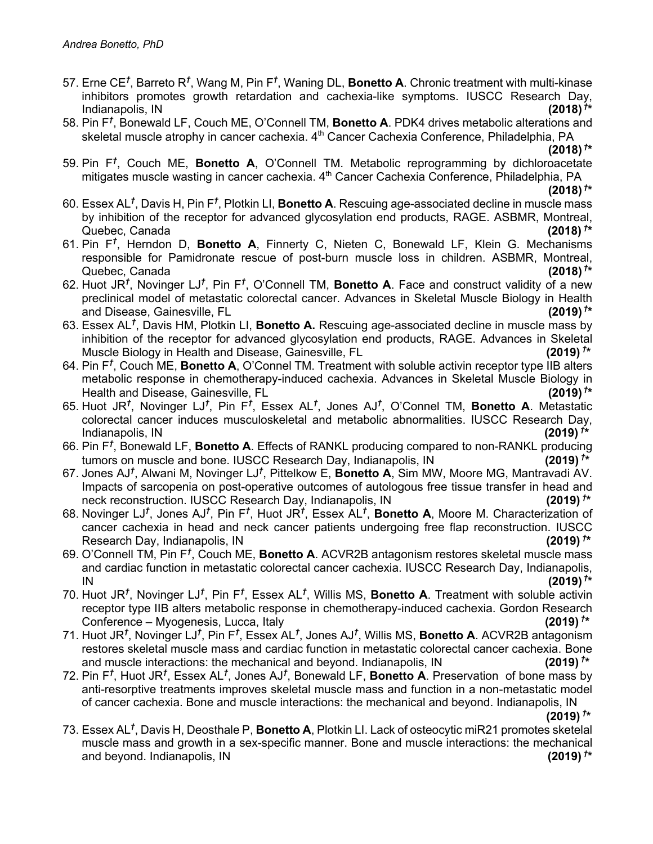- 57. Erne CE*†* , Barreto R*†* , Wang M, Pin F*†* , Waning DL, **Bonetto A**. Chronic treatment with multi-kinase inhibitors promotes growth retardation and cachexia-like symptoms. IUSCC Research Day, Indianapolis, IN **(2018)** *†*  $(2018)$ <sup>†\*</sup>
- 58. Pin F*†* , Bonewald LF, Couch ME, O'Connell TM, **Bonetto A**. PDK4 drives metabolic alterations and skeletal muscle atrophy in cancer cachexia. 4<sup>th</sup> Cancer Cachexia Conference, Philadelphia, PA

**(2018)**  $^{\dagger *}$ 

59. Pin F*†* , Couch ME, **Bonetto A**, O'Connell TM. Metabolic reprogramming by dichloroacetate mitigates muscle wasting in cancer cachexia. 4<sup>th</sup> Cancer Cachexia Conference, Philadelphia, PA

**(2018)** *†* **\***

- 60. Essex AL<sup>†</sup>, Davis H, Pin F<sup>†</sup>, Plotkin LI, **Bonetto A**. Rescuing age-associated decline in muscle mass by inhibition of the receptor for advanced glycosylation end products, RAGE. ASBMR, Montreal, Quebec, Canada **(2018)** *†* **\***
- 61. Pin F*†* , Herndon D, **Bonetto A**, Finnerty C, Nieten C, Bonewald LF, Klein G. Mechanisms responsible for Pamidronate rescue of post-burn muscle loss in children. ASBMR, Montreal, Quebec, Canada **(2018)** *†*  $(2018)$ <sup>†\*</sup>
- 62. Huot JR*†* , Novinger LJ*†* , Pin F*†* , O'Connell TM, **Bonetto A**. Face and construct validity of a new preclinical model of metastatic colorectal cancer. Advances in Skeletal Muscle Biology in Health and Disease, Gainesville, FL **(2019)** *†*  $(2019)^{t*}$
- 63. Essex AL*†* , Davis HM, Plotkin LI, **Bonetto A.** Rescuing age-associated decline in muscle mass by inhibition of the receptor for advanced glycosylation end products, RAGE. Advances in Skeletal Muscle Biology in Health and Disease, Gainesville, FL **(2019)** *†* **\***
- 64. Pin F*†* , Couch ME, **Bonetto A**, O'Connel TM. Treatment with soluble activin receptor type IIB alters metabolic response in chemotherapy-induced cachexia. Advances in Skeletal Muscle Biology in Health and Disease, Gainesville, FL **(2019)** *†*  $(2019)$ <sup>†\*</sup>
- 65. Huot JR*†* , Novinger LJ*†* , Pin F*†* , Essex AL*†* , Jones AJ*†* , O'Connel TM, **Bonetto A**. Metastatic colorectal cancer induces musculoskeletal and metabolic abnormalities. IUSCC Research Day, Indianapolis, IN **(2019)** *†* **\***
- 66. Pin F*†* , Bonewald LF, **Bonetto A**. Effects of RANKL producing compared to non-RANKL producing tumors on muscle and bone. IUSCC Research Day, Indianapolis, IN **(2019)** *†*  $(2019)^{t*}$
- 67. Jones AJ*†* , Alwani M, Novinger LJ*†* , Pittelkow E, **Bonetto A**, Sim MW, Moore MG, Mantravadi AV. Impacts of sarcopenia on post-operative outcomes of autologous free tissue transfer in head and neck reconstruction. IUSCC Research Day, Indianapolis, IN **(2019)** *†*  $(2019)$ <sup>†\*</sup>
- 68. Novinger LJ*†* , Jones AJ*†* , Pin F*†* , Huot JR*†* , Essex AL*†* , **Bonetto A**, Moore M. Characterization of cancer cachexia in head and neck cancer patients undergoing free flap reconstruction. IUSCC Research Day, Indianapolis, IN **(2019)** *†* **\***
- 69. O'Connell TM, Pin F<sup>†</sup>, Couch ME, **Bonetto A**. ACVR2B antagonism restores skeletal muscle mass and cardiac function in metastatic colorectal cancer cachexia. IUSCC Research Day, Indianapolis, IN **(2019)** *†*  $(2019)$ <sup>†\*</sup>
- 70. Huot JR*†* , Novinger LJ*†* , Pin F*†* , Essex AL*†* , Willis MS, **Bonetto A**. Treatment with soluble activin receptor type IIB alters metabolic response in chemotherapy-induced cachexia. Gordon Research Conference – Myogenesis, Lucca, Italy **(2019)** *†*  $(2019)^{t*}$
- 71. Huot JR*†* , Novinger LJ*†* , Pin F*†* , Essex AL*†* , Jones AJ*†* , Willis MS, **Bonetto A**. ACVR2B antagonism restores skeletal muscle mass and cardiac function in metastatic colorectal cancer cachexia. Bone and muscle interactions: the mechanical and beyond. Indianapolis, IN **(2019)** *†*  $(2019)$ <sup>†\*</sup>
- 72. Pin F<sup>†</sup>, Huot JR<sup>†</sup>, Essex AL<sup>†</sup>, Jones AJ<sup>†</sup>, Bonewald LF, **Bonetto A**. Preservation of bone mass by anti-resorptive treatments improves skeletal muscle mass and function in a non-metastatic model of cancer cachexia. Bone and muscle interactions: the mechanical and beyond. Indianapolis, IN

**(2019)** *†* **\***

73. Essex AL*†* , Davis H, Deosthale P, **Bonetto A**, Plotkin LI. Lack of osteocytic miR21 promotes sketelal muscle mass and growth in a sex-specific manner. Bone and muscle interactions: the mechanical and beyond. Indianapolis, IN **(2019)** *†*  $(2019)$ <sup>†\*</sup>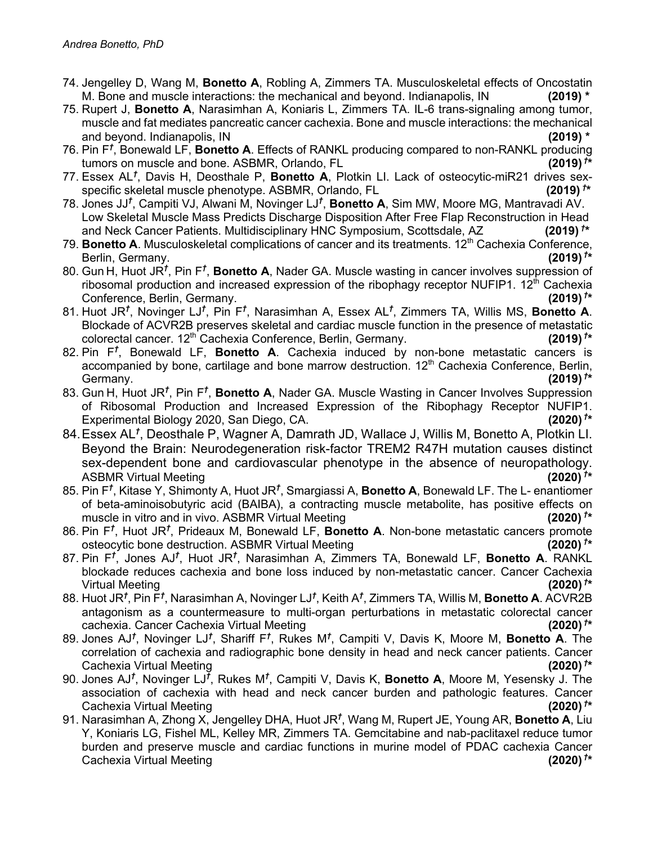- 74. Jengelley D, Wang M, **Bonetto A**, Robling A, Zimmers TA. Musculoskeletal effects of Oncostatin M. Bone and muscle interactions: the mechanical and beyond. Indianapolis, IN **(2019) \***
- 75. Rupert J, **Bonetto A**, Narasimhan A, Koniaris L, Zimmers TA. IL-6 trans-signaling among tumor, muscle and fat mediates pancreatic cancer cachexia. Bone and muscle interactions: the mechanical and beyond. Indianapolis, IN **(2019) \***
- 76. Pin F*†* , Bonewald LF, **Bonetto A**. Effects of RANKL producing compared to non-RANKL producing tumors on muscle and bone. ASBMR, Orlando, FL **(2019)** *†*  $(2019)^{t*}$
- 77. Essex AL*†* , Davis H, Deosthale P, **Bonetto A**, Plotkin LI. Lack of osteocytic-miR21 drives sexspecific skeletal muscle phenotype. ASBMR, Orlando, FL **(2019)** *†*  $(2019)^{1*}$
- 78. Jones JJ*†* , Campiti VJ, Alwani M, Novinger LJ*†* , **Bonetto A**, Sim MW, Moore MG, Mantravadi AV. Low Skeletal Muscle Mass Predicts Discharge Disposition After Free Flap Reconstruction in Head and Neck Cancer Patients. Multidisciplinary HNC Symposium, Scottsdale, AZ **(2019)** *†*  $(2019)$ <sup>†\*</sup>
- 79. **Bonetto A**. Musculoskeletal complications of cancer and its treatments. 12<sup>th</sup> Cachexia Conference, Berlin, Germany.  $(2019)^{t*}$
- 80. Gun H, Huot JR<sup>t</sup>, Pin F<sup>t</sup>, **Bonetto A**, Nader GA. Muscle wasting in cancer involves suppression of ribosomal production and increased expression of the ribophagy receptor NUFIP1. 12<sup>th</sup> Cachexia Conference, Berlin, Germany. **(2019)** *†*  $(2019)^{t*}$
- 81. Huot JR*†* , Novinger LJ*†* , Pin F*†* , Narasimhan A, Essex AL*†* , Zimmers TA, Willis MS, **Bonetto A**. Blockade of ACVR2B preserves skeletal and cardiac muscle function in the presence of metastatic colorectal cancer. 12th Cachexia Conference, Berlin, Germany. **(2019)** *†*  $(2019)^{t*}$
- 82. Pin F*†* , Bonewald LF, **Bonetto A**. Cachexia induced by non-bone metastatic cancers is accompanied by bone, cartilage and bone marrow destruction. 12<sup>th</sup> Cachexia Conference, Berlin, Germany. **(2019)** *†*  $(2019)^{t*}$
- 83. Gun H, Huot JR*†* , Pin F*†* , **Bonetto A**, Nader GA. Muscle Wasting in Cancer Involves Suppression of Ribosomal Production and Increased Expression of the Ribophagy Receptor NUFIP1. Experimental Biology 2020, San Diego, CA.  $(2020)^{T*}$
- 84.Essex AL*†* , Deosthale P, Wagner A, Damrath JD, Wallace J, Willis M, Bonetto A, Plotkin LI. Beyond the Brain: Neurodegeneration risk-factor TREM2 R47H mutation causes distinct sex-dependent bone and cardiovascular phenotype in the absence of neuropathology. ASBMR Virtual Meeting **(2020)** *†* **\***
- 85. Pin F*†* , Kitase Y, Shimonty A, Huot JR*†* , Smargiassi A, **Bonetto A**, Bonewald LF. The L- enantiomer of beta-aminoisobutyric acid (BAIBA), a contracting muscle metabolite, has positive effects on muscle in vitro and in vivo. ASBMR Virtual Meeting **(2020)** *†*  $(2020)^{T*}$
- 86. Pin F*†* , Huot JR*†* , Prideaux M, Bonewald LF, **Bonetto A**. Non-bone metastatic cancers promote osteocytic bone destruction. ASBMR Virtual Meeting **(2020)** *†* **\***
- 87. Pin F*†* , Jones AJ*†* , Huot JR*†* , Narasimhan A, Zimmers TA, Bonewald LF, **Bonetto A**. RANKL blockade reduces cachexia and bone loss induced by non-metastatic cancer. Cancer Cachexia Virtual Meeting **(2020)** *†*  $(2020)$ <sup>†\*</sup>
- 88. Huot JR*†* , Pin F*†* , Narasimhan A, Novinger LJ*†* , Keith A*†* , Zimmers TA, Willis M, **Bonetto A**. ACVR2B antagonism as a countermeasure to multi-organ perturbations in metastatic colorectal cancer cachexia. Cancer Cachexia Virtual Meeting **(2020)** *†* **\***
- 89. Jones AJ*†* , Novinger LJ*†* , Shariff F*†* , Rukes M*†* , Campiti V, Davis K, Moore M, **Bonetto A**. The correlation of cachexia and radiographic bone density in head and neck cancer patients. Cancer Cachexia Virtual Meeting **(2020)** *†*  $(2020)^{t*}$
- 90. Jones AJ*†* , Novinger LJ*†* , Rukes M*†* , Campiti V, Davis K, **Bonetto A**, Moore M, Yesensky J. The association of cachexia with head and neck cancer burden and pathologic features. Cancer Cachexia Virtual Meeting **(2020)** *†*  $(2020)^{1*}$
- 91. Narasimhan A, Zhong X, Jengelley DHA, Huot JR*†* , Wang M, Rupert JE, Young AR, **Bonetto A**, Liu Y, Koniaris LG, Fishel ML, Kelley MR, Zimmers TA. Gemcitabine and nab-paclitaxel reduce tumor burden and preserve muscle and cardiac functions in murine model of PDAC cachexia Cancer Cachexia Virtual Meeting **(2020)** *†*  $(2020)$ <sup>†\*</sup>